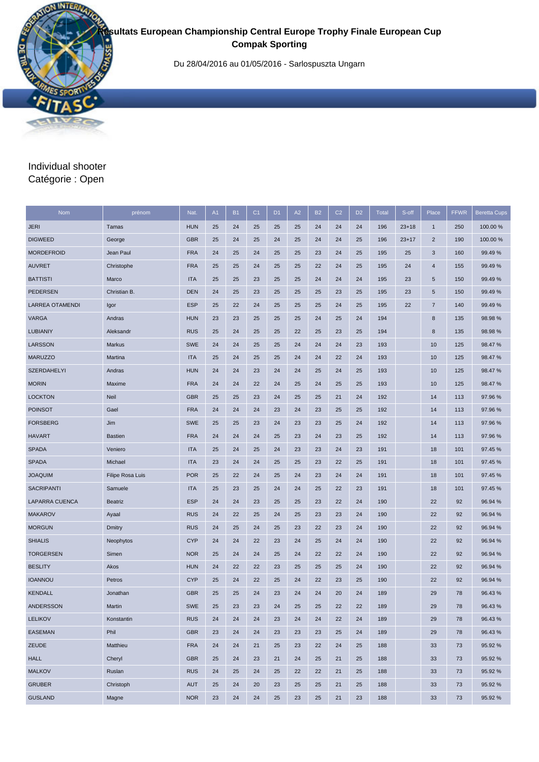## **Résultats European Championship Central Europe Trophy Finale European Cup Compak Sporting**

Du 28/04/2016 au 01/05/2016 - Sarlospuszta Ungarn

## Individual shooter Catégorie : Open

| <b>Nom</b>             | prénom           | Nat.       | A1 | <b>B1</b> | C <sub>1</sub> | D <sub>1</sub> | A2 | <b>B2</b> | C <sub>2</sub> | D <sub>2</sub> | <b>Total</b> | S-off     | Place          | <b>FFWR</b> | <b>Beretta Cups</b> |
|------------------------|------------------|------------|----|-----------|----------------|----------------|----|-----------|----------------|----------------|--------------|-----------|----------------|-------------|---------------------|
| <b>JERI</b>            | Tamas            | <b>HUN</b> | 25 | 24        | 25             | 25             | 25 | 24        | 24             | 24             | 196          | $23 + 18$ | $\mathbf{1}$   | 250         | 100.00 %            |
| <b>DIGWEED</b>         | George           | <b>GBR</b> | 25 | 24        | 25             | 24             | 25 | 24        | 24             | 25             | 196          | $23 + 17$ | $\overline{2}$ | 190         | 100.00 %            |
| <b>MORDEFROID</b>      | Jean Paul        | <b>FRA</b> | 24 | 25        | 24             | 25             | 25 | 23        | 24             | 25             | 195          | 25        | $\mathsf 3$    | 160         | 99.49%              |
| <b>AUVRET</b>          | Christophe       | <b>FRA</b> | 25 | 25        | 24             | 25             | 25 | 22        | 24             | 25             | 195          | 24        | 4              | 155         | 99.49%              |
| <b>BATTISTI</b>        | Marco            | <b>ITA</b> | 25 | 25        | 23             | 25             | 25 | 24        | 24             | 24             | 195          | 23        | 5              | 150         | 99.49%              |
| <b>PEDERSEN</b>        | Christian B      | <b>DEN</b> | 24 | 25        | 23             | 25             | 25 | 25        | 23             | 25             | 195          | 23        | 5              | 150         | 99.49%              |
| <b>LARREA OTAMENDI</b> | Igor             | <b>ESP</b> | 25 | 22        | 24             | 25             | 25 | 25        | 24             | 25             | 195          | 22        | $\overline{7}$ | 140         | 99.49%              |
| <b>VARGA</b>           | Andras           | <b>HUN</b> | 23 | 23        | 25             | 25             | 25 | 24        | 25             | 24             | 194          |           | $\bf8$         | 135         | 98.98%              |
| LUBIANIY               | Aleksandr        | <b>RUS</b> | 25 | 24        | 25             | 25             | 22 | 25        | 23             | 25             | 194          |           | 8              | 135         | 98.98%              |
| <b>LARSSON</b>         | Markus           | <b>SWE</b> | 24 | 24        | 25             | 25             | 24 | 24        | 24             | 23             | 193          |           | 10             | 125         | 98.47%              |
| <b>MARUZZO</b>         | Martina          | <b>ITA</b> | 25 | 24        | 25             | 25             | 24 | 24        | 22             | 24             | 193          |           | 10             | 125         | 98.47%              |
| <b>SZERDAHELYI</b>     | Andras           | <b>HUN</b> | 24 | 24        | 23             | 24             | 24 | 25        | 24             | 25             | 193          |           | 10             | 125         | 98.47%              |
| <b>MORIN</b>           | Maxime           | <b>FRA</b> | 24 | 24        | 22             | 24             | 25 | 24        | 25             | 25             | 193          |           | 10             | 125         | 98.47%              |
| <b>LOCKTON</b>         | Neil             | <b>GBR</b> | 25 | 25        | 23             | 24             | 25 | 25        | 21             | 24             | 192          |           | 14             | 113         | 97.96%              |
| <b>POINSOT</b>         | Gael             | <b>FRA</b> | 24 | 24        | 24             | 23             | 24 | 23        | 25             | 25             | 192          |           | 14             | 113         | 97.96 %             |
| <b>FORSBERG</b>        | Jim              | <b>SWE</b> | 25 | 25        | 23             | 24             | 23 | 23        | 25             | 24             | 192          |           | 14             | 113         | 97.96 %             |
| <b>HAVART</b>          | <b>Bastien</b>   | <b>FRA</b> | 24 | 24        | 24             | 25             | 23 | 24        | 23             | 25             | 192          |           | 14             | 113         | 97.96%              |
| <b>SPADA</b>           | Veniero          | <b>ITA</b> | 25 | 24        | 25             | 24             | 23 | 23        | 24             | 23             | 191          |           | 18             | 101         | 97.45 %             |
| <b>SPADA</b>           | Michael          | <b>ITA</b> | 23 | 24        | 24             | 25             | 25 | 23        | 22             | 25             | 191          |           | 18             | 101         | 97.45 %             |
| <b>JOAQUIM</b>         | Filipe Rosa Luis | <b>POR</b> | 25 | 22        | 24             | 25             | 24 | 23        | 24             | 24             | 191          |           | 18             | 101         | 97.45 %             |
| <b>SACRIPANTI</b>      | Samuele          | <b>ITA</b> | 25 | 23        | 25             | 24             | 24 | 25        | 22             | 23             | 191          |           | 18             | 101         | 97.45 %             |
| LAPARRA CUENCA         | <b>Beatriz</b>   | <b>ESP</b> | 24 | 24        | 23             | 25             | 25 | 23        | 22             | 24             | 190          |           | 22             | 92          | 96.94 %             |
| <b>MAKAROV</b>         | Ayaal            | <b>RUS</b> | 24 | 22        | 25             | 24             | 25 | 23        | 23             | 24             | 190          |           | 22             | 92          | 96.94 %             |
| <b>MORGUN</b>          | Dmitry           | <b>RUS</b> | 24 | 25        | 24             | 25             | 23 | 22        | 23             | 24             | 190          |           | 22             | 92          | 96.94 %             |
| <b>SHIALIS</b>         | Neophytos        | <b>CYP</b> | 24 | 24        | 22             | 23             | 24 | 25        | 24             | 24             | 190          |           | 22             | 92          | 96.94 %             |
| <b>TORGERSEN</b>       | Simen            | <b>NOR</b> | 25 | 24        | 24             | 25             | 24 | 22        | 22             | 24             | 190          |           | 22             | 92          | 96.94 %             |
| <b>BESLITY</b>         | Akos             | <b>HUN</b> | 24 | 22        | 22             | 23             | 25 | 25        | 25             | 24             | 190          |           | 22             | 92          | 96.94 %             |
| <b>IOANNOU</b>         | Petros           | <b>CYP</b> | 25 | 24        | 22             | 25             | 24 | 22        | 23             | 25             | 190          |           | 22             | 92          | 96.94 %             |
| <b>KENDALL</b>         | Jonathan         | <b>GBR</b> | 25 | 25        | 24             | 23             | 24 | 24        | 20             | 24             | 189          |           | 29             | 78          | 96.43%              |
| <b>ANDERSSON</b>       | Martin           | <b>SWE</b> | 25 | 23        | 23             | 24             | 25 | 25        | 22             | 22             | 189          |           | 29             | 78          | 96.43%              |
| <b>LELIKOV</b>         | Konstantin       | <b>RUS</b> | 24 | 24        | 24             | 23             | 24 | 24        | 22             | 24             | 189          |           | 29             | 78          | 96.43%              |
| <b>EASEMAN</b>         | Phil             | <b>GBR</b> | 23 | 24        | 24             | 23             | 23 | 23        | 25             | 24             | 189          |           | 29             | 78          | 96.43%              |
| ZEUDE                  | Matthieu         | <b>FRA</b> | 24 | 24        | 21             | 25             | 23 | 22        | 24             | 25             | 188          |           | 33             | 73          | 95.92 %             |
| <b>HALL</b>            | Cheryl           | <b>GBR</b> | 25 | 24        | 23             | 21             | 24 | 25        | 21             | 25             | 188          |           | 33             | 73          | 95.92 %             |
| <b>MALKOV</b>          | Ruslan           | <b>RUS</b> | 24 | 25        | 24             | 25             | 22 | 22        | 21             | 25             | 188          |           | 33             | 73          | 95.92 %             |
| <b>GRUBER</b>          | Christoph        | <b>AUT</b> | 25 | 24        | 20             | 23             | 25 | 25        | 21             | 25             | 188          |           | 33             | 73          | 95.92 %             |
| <b>GUSLAND</b>         | Magne            | <b>NOR</b> | 23 | 24        | 24             | 25             | 23 | 25        | 21             | 23             | 188          |           | 33             | 73          | 95.92 %             |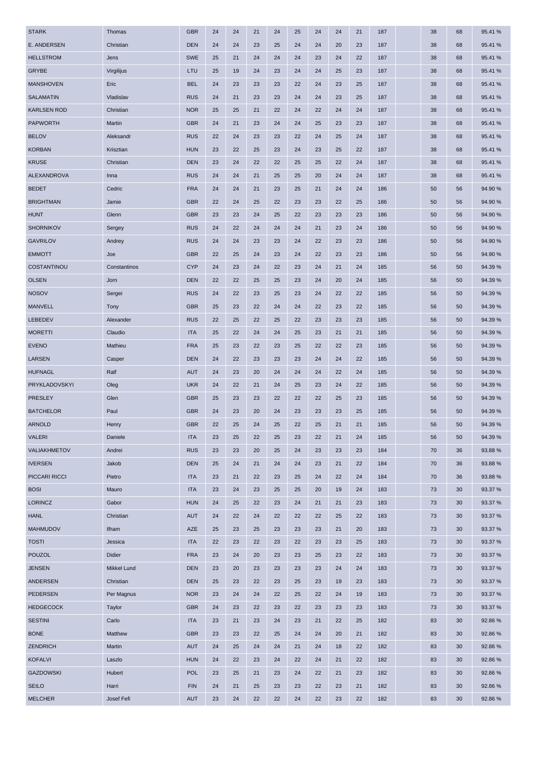| <b>STARK</b>                   | Thomas              | <b>GBR</b>               | 24       | 24       | 21       | 24       | 25       | 24       | 24       | 21       | 187        | 38       | 68       | 95.41 %          |
|--------------------------------|---------------------|--------------------------|----------|----------|----------|----------|----------|----------|----------|----------|------------|----------|----------|------------------|
| E. ANDERSEN                    | Christian           | <b>DEN</b>               | 24       | 24       | 23       | 25       | 24       | 24       | 20       | 23       | 187        | 38       | 68       | 95.41 %          |
| <b>HELLSTROM</b>               | Jens                | <b>SWE</b>               | 25       | 21       | 24       | 24       | 24       | 23       | 24       | 22       | 187        | 38       | 68       | 95.41 %          |
| <b>GRYBE</b>                   | Virgilijus          | LTU                      | 25       | 19       | 24       | 23       | 24       | 24       | 25       | 23       | 187        | 38       | 68       | 95.41 %          |
| <b>MANSHOVEN</b>               | Eric                | <b>BEL</b>               | 24       | 23       | 23       | 23       | 22       | 24       | 23       | 25       | 187        | 38       | 68       | 95.41 %          |
| <b>SALAMATIN</b>               | Vladislav           | <b>RUS</b>               | 24       | 21       | 23       | 23       | 24       | 24       | 23       | 25       | 187        | 38       | 68       | 95.41 %          |
| <b>KARLSEN ROD</b>             | Christian           | <b>NOR</b>               | 25       | 25       | 21       | 22       | 24       | 22       | 24       | 24       | 187        | 38       | 68       | 95.41 %          |
| <b>PAPWORTH</b>                | Martin              | <b>GBR</b>               | 24       | 21       | 23       | 24       | 24       | 25       | 23       | 23       | 187        | 38       | 68       | 95.41 %          |
| <b>BELOV</b>                   | Aleksandr           | <b>RUS</b>               | 22       | 24       | 23       | 23       | 22       | 24       | 25       | 24       | 187        | 38       | 68       | 95.41 %          |
| <b>KORBAN</b>                  | Krisztian           | <b>HUN</b>               | 23       | 22       | 25       | 23       | 24       | 23       | 25       | 22       | 187        | 38       | 68       | 95.41 %          |
| <b>KRUSE</b>                   | Christian           | <b>DEN</b>               | 23       | 24       | 22       | 22       | 25       | 25       | 22       | 24       | 187        | 38       | 68       | 95.41 %          |
| ALEXANDROVA                    | Inna                | <b>RUS</b>               | 24       | 24       | 21       | 25       | 25       | 20       | 24       | 24       | 187        | 38       | 68       | 95.41 %          |
| <b>BEDET</b>                   | Cedric              | <b>FRA</b>               | 24       | 24       | 21       | 23       | 25       | 21       | 24       | 24       | 186        | 50       | 56       | 94.90 %          |
| <b>BRIGHTMAN</b>               | Jamie               | <b>GBR</b>               | 22       | 24       | 25       | 22       | 23       | 23       | 22       | 25       | 186        | 50       | 56       | 94.90%           |
| <b>HUNT</b>                    | Glenn               | <b>GBR</b>               | 23       | 23       | 24       | 25       | 22       | 23       | 23       | 23       | 186        | 50       | 56       | 94.90 %          |
| <b>SHORNIKOV</b>               | Sergey              | <b>RUS</b>               | 24       | 22       | 24       | 24       | 24       | 21       | 23       | 24       | 186        | 50       | 56       | 94.90 %          |
| <b>GAVRILOV</b>                | Andrey              | <b>RUS</b>               | 24       | 24       | 23       | 23       | 24       | 22       | 23       | 23       | 186        | 50       | 56       | 94.90%           |
| <b>EMMOTT</b>                  | Joe                 | <b>GBR</b>               | 22       | 25       | 24       | 23       | 24       | 22       | 23       | 23       | 186        | 50       | 56       | 94.90 %          |
| COSTANTINOU                    | Constantinos        | <b>CYP</b>               | 24       | 23       | 24       | 22       | 23       | 24       | 21       | 24       | 185        | 56       | 50       | 94.39 %          |
| <b>OLSEN</b>                   | Jorn                | <b>DEN</b>               | 22       | 22       | 25       | 25       | 23       | 24       | 20       | 24       | 185        | 56       | 50       | 94.39 %          |
| <b>NOSOV</b>                   | Sergei              | <b>RUS</b>               | 24       | 22       | 23       | 25       | 23       | 24       | 22       | 22       | 185        | 56       | 50       | 94.39 %          |
| <b>MANVELL</b>                 | Tony                | <b>GBR</b>               | 25       | 23       | 22       | 24       | 24       | 22       | 23       | 22       | 185        | 56       | 50       | 94.39 %          |
| LEBEDEV                        | Alexander           | <b>RUS</b>               | 22       | 25       | 22       | 25       | 22       | 23       | 23       | 23       | 185        | 56       | 50       | 94.39 %          |
| <b>MORETTI</b>                 | Claudio             | <b>ITA</b>               | 25       | 22       | 24       | 24       | 25       | 23       | 21       | 21       | 185        | 56       | 50       | 94.39 %          |
| <b>EVENO</b>                   | Mathieu             | <b>FRA</b>               | 25       | 23       | 22       | 23       | 25       | 22       | 22       | 23       | 185        | 56       | 50       | 94.39 %          |
| <b>LARSEN</b>                  | Casper              | <b>DEN</b>               | 24       | 22       | 23       | 23       | 23       | 24       | 24       | 22       | 185        | 56       | 50       | 94.39 %          |
| <b>HUFNAGL</b>                 | Ralf                | <b>AUT</b>               | 24       | 23       | 20       | 24       | 24       | 24       | 22       | 24       | 185        | 56       | 50       | 94.39 %          |
| PRYKLADOVSKYI                  | Oleg                | <b>UKR</b>               | 24       | 22       | 21       | 24       | 25       | 23       | 24       | 22       | 185        | 56       | 50       | 94.39 %          |
| <b>PRESLEY</b>                 | Glen                | <b>GBR</b>               | 25       | 23       | 23       | 22       | 22       | 22       | 25       | 23       | 185        | 56       | 50       | 94.39 %          |
| <b>BATCHELOR</b>               | Paul                | <b>GBR</b>               | 24       | 23       | 20       | 24       | 23       | 23       | 23       | 25       | 185        | 56       | 50       | 94.39 %          |
| <b>ARNOLD</b>                  | Henry               | <b>GBR</b>               | 22       | 25       | 24       | 25       | 22       | 25       | 21       | 21       | 185        | 56       | 50       | 94.39 %          |
| <b>VALERI</b>                  | Daniele             | <b>ITA</b>               | 23       | 25       | 22       | 25       | 23       | 22       | 21       | 24       | 185        | 56       | 50       | 94.39 %          |
| <b>VALIAKHMETOV</b>            | Andrei              | <b>RUS</b>               | 23       | 23       | 20       | 25       | 24       | 23       | 23       | 23       | 184        | 70       | 36       | 93.88%           |
| <b>IVERSEN</b>                 | Jakob               | <b>DEN</b>               |          |          |          |          |          |          |          |          |            |          |          |                  |
| PICCARI RICCI                  |                     |                          | 25       | 24       | 21       | 24       | 24       | 23       | 21       | 22       | 184        | 70       | 36       | 93.88%           |
| <b>BOSI</b>                    | Pietro              | <b>ITA</b>               | 23       | 21       | 22       | 23       | 25       | 24       | 22       | 24       | 184        | 70       | 36       | 93.88%           |
|                                | Mauro               | <b>ITA</b>               | 23       | 24       | 23       | 25       | 25       | 20       | 19       | 24       | 183        | 73       | 30       | 93.37 %          |
| <b>LORINCZ</b>                 | Gabor               | <b>HUN</b>               | 24       | 25       | 22       | 23       | 24       | 21       | 21       | 23       | 183        | 73       | 30       | 93.37 %          |
| <b>HANL</b>                    | Christian           | <b>AUT</b>               | 24       | 22       | 24       | 22       | 22       | 22       | 25       | 22       | 183        | 73       | 30       | 93.37 %          |
| <b>MAHMUDOV</b>                |                     |                          |          |          |          |          |          |          |          |          |            |          |          |                  |
|                                | <b>Ilham</b>        | AZE                      | 25       | 23       | 25       | 23       | 23       | 23       | 21       | 20       | 183        | 73       | 30       | 93.37 %          |
| <b>TOSTI</b>                   | Jessica             | <b>ITA</b>               | 22       | 23       | 22       | 23       | 22       | 23       | 23       | 25       | 183        | 73       | 30       | 93.37 %          |
| <b>POUZOL</b>                  | Didier              | <b>FRA</b>               | 23       | 24       | 20       | 23       | 23       | 25       | 23       | 22       | 183        | 73       | 30       | 93.37 %          |
| <b>JENSEN</b>                  | Mikkel Lund         | <b>DEN</b>               | 23       | 20       | 23       | 23       | 23       | 23       | 24       | 24       | 183        | 73       | 30       | 93.37 %          |
| ANDERSEN                       | Christian           | <b>DEN</b>               | 25       | 23       | 22       | 23       | 25       | 23       | 19       | 23       | 183        | 73       | 30       | 93.37 %          |
| <b>PEDERSEN</b>                | Per Magnus          | <b>NOR</b>               | 23       | 24       | 24       | 22       | 25       | 22       | 24       | 19       | 183        | 73       | 30       | 93.37 %          |
| <b>HEDGECOCK</b>               | Taylor              | <b>GBR</b>               | 24       | 23       | 22       | 23       | 22       | 23       | 23       | 23       | 183        | 73       | 30       | 93.37 %          |
| <b>SESTINI</b>                 | Carlo               | <b>ITA</b>               | 23       | 21       | 23       | 24       | 23       | 21       | 22       | 25       | 182        | 83       | 30       | 92.86%           |
| <b>BONE</b>                    | Matthew             | <b>GBR</b>               | 23       | 23       | 22       | 25       | 24       | 24       | 20       | 21       | 182        | 83       | 30       | 92.86%           |
| ZENDRICH                       | Martin              | <b>AUT</b>               | 24       | 25       | 24       | 24       | 21       | 24       | 18       | 22       | 182        | 83       | 30       | 92.86%           |
| <b>KOFALVI</b>                 | Laszlo              | <b>HUN</b>               | 24       | 22       | 23       | 24       | 22       | 24       | 21       | 22       | 182        | 83       | 30       | 92.86%           |
| <b>GAZDOWSKI</b>               | Hubert              | <b>POL</b>               | 23       | 25       | 21       | 23       | 24       | 22       | 21       | 23       | 182        | 83       | 30       | 92.86%           |
| <b>SEILO</b><br><b>MELCHER</b> | Harri<br>Josef Fefi | <b>FIN</b><br><b>AUT</b> | 24<br>23 | 21<br>24 | 25<br>22 | 23<br>22 | 23<br>24 | 22<br>22 | 23<br>23 | 21<br>22 | 182<br>182 | 83<br>83 | 30<br>30 | 92.86%<br>92.86% |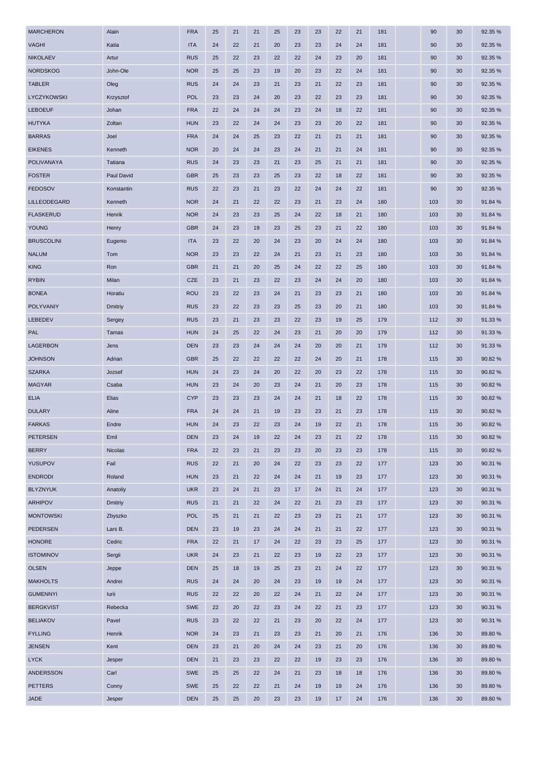| <b>MARCHERON</b>  | Alain          | <b>FRA</b> | 25 | 21 | 21 | 25 | 23 | 23 | 22 | 21 | 181 | 90  | 30 | 92.35 % |
|-------------------|----------------|------------|----|----|----|----|----|----|----|----|-----|-----|----|---------|
| <b>VAGHI</b>      | Katia          | <b>ITA</b> | 24 | 22 | 21 | 20 | 23 | 23 | 24 | 24 | 181 | 90  | 30 | 92.35 % |
| <b>NIKOLAEV</b>   | Artur          | <b>RUS</b> | 25 | 22 | 23 | 22 | 22 | 24 | 23 | 20 | 181 | 90  | 30 | 92.35 % |
| <b>NORDSKOG</b>   | John-Ole       | <b>NOR</b> | 25 | 25 | 23 | 19 | 20 | 23 | 22 | 24 | 181 | 90  | 30 | 92.35 % |
| <b>TABLER</b>     | Oleg           | <b>RUS</b> | 24 | 24 | 23 | 21 | 23 | 21 | 22 | 23 | 181 | 90  | 30 | 92.35 % |
| LYCZYKOWSKI       | Krzysztof      | <b>POL</b> | 23 | 23 | 24 | 20 | 23 | 22 | 23 | 23 | 181 | 90  | 30 | 92.35 % |
| <b>LEBOEUF</b>    | Johan          | <b>FRA</b> | 22 | 24 | 24 | 24 | 23 | 24 | 18 | 22 | 181 | 90  | 30 | 92.35 % |
| <b>HUTYKA</b>     | Zoltan         | <b>HUN</b> | 23 | 22 | 24 | 24 | 23 | 23 | 20 | 22 | 181 | 90  | 30 | 92.35 % |
| <b>BARRAS</b>     | Joel           | <b>FRA</b> | 24 | 24 | 25 | 23 | 22 | 21 | 21 | 21 | 181 | 90  | 30 | 92.35 % |
| <b>EIKENES</b>    | Kenneth        | <b>NOR</b> | 20 | 24 | 24 | 23 | 24 | 21 | 21 | 24 | 181 | 90  | 30 | 92.35 % |
| POLIVANAYA        | Tatiana        | <b>RUS</b> | 24 | 23 | 23 | 21 | 23 | 25 | 21 | 21 | 181 | 90  | 30 | 92.35 % |
| <b>FOSTER</b>     | Paul David     | <b>GBR</b> | 25 | 23 | 23 | 25 | 23 | 22 | 18 | 22 | 181 | 90  | 30 | 92.35 % |
| <b>FEDOSOV</b>    | Konstantin     | <b>RUS</b> | 22 | 23 | 21 | 23 | 22 | 24 | 24 | 22 | 181 | 90  | 30 | 92.35 % |
| LILLEODEGARD      | Kenneth        | <b>NOR</b> | 24 | 21 | 22 | 22 | 23 | 21 | 23 | 24 | 180 | 103 | 30 | 91.84 % |
| <b>FLASKERUD</b>  | Henrik         | <b>NOR</b> | 24 | 23 | 23 | 25 | 24 | 22 | 18 | 21 | 180 | 103 | 30 | 91.84 % |
| <b>YOUNG</b>      | Henry          | <b>GBR</b> | 24 | 23 | 19 | 23 | 25 | 23 | 21 | 22 | 180 | 103 | 30 | 91.84 % |
| <b>BRUSCOLINI</b> | Eugenio        | <b>ITA</b> | 23 | 22 | 20 | 24 | 23 | 20 | 24 | 24 | 180 | 103 | 30 | 91.84 % |
| <b>NALUM</b>      | Tom            | <b>NOR</b> | 23 | 23 | 22 | 24 | 21 | 23 | 21 | 23 | 180 | 103 | 30 | 91.84 % |
| <b>KING</b>       | Ron            | <b>GBR</b> | 21 | 21 | 20 | 25 | 24 | 22 | 22 | 25 | 180 | 103 | 30 | 91.84 % |
| <b>RYBIN</b>      | Milan          | <b>CZE</b> | 23 | 21 | 23 | 22 | 23 | 24 | 24 | 20 | 180 | 103 | 30 | 91.84 % |
| <b>BONEA</b>      | Horatiu        | <b>ROU</b> | 23 | 22 | 23 | 24 | 21 | 23 | 23 | 21 | 180 | 103 | 30 | 91.84 % |
| POLYVANIY         | Dmitriy        | <b>RUS</b> | 23 | 22 | 23 | 23 | 25 | 23 | 20 | 21 | 180 | 103 | 30 | 91.84 % |
| LEBEDEV           | Sergey         | <b>RUS</b> | 23 | 21 | 23 | 23 | 22 | 23 | 19 | 25 | 179 | 112 | 30 | 91.33 % |
| PAL               | Tamas          | <b>HUN</b> | 24 | 25 | 22 | 24 | 23 | 21 | 20 | 20 | 179 | 112 | 30 | 91.33%  |
| <b>LAGERBON</b>   | Jens           | <b>DEN</b> | 23 | 23 | 24 | 24 | 24 | 20 | 20 | 21 | 179 | 112 | 30 | 91.33%  |
| <b>JOHNSON</b>    | Adrian         | <b>GBR</b> | 25 | 22 | 22 | 22 | 22 | 24 | 20 | 21 | 178 | 115 | 30 | 90.82 % |
| <b>SZARKA</b>     | Jozsef         | <b>HUN</b> | 24 | 23 | 24 | 20 | 22 | 20 | 23 | 22 | 178 | 115 | 30 | 90.82%  |
| <b>MAGYAR</b>     | Csaba          | <b>HUN</b> | 23 | 24 | 20 | 23 | 24 | 21 | 20 | 23 | 178 | 115 | 30 | 90.82 % |
| <b>ELIA</b>       | Elias          | <b>CYP</b> | 23 | 23 | 23 | 24 | 24 | 21 | 18 | 22 | 178 | 115 | 30 | 90.82 % |
| <b>DULARY</b>     | Aline          | <b>FRA</b> | 24 | 24 | 21 | 19 | 23 | 23 | 21 | 23 | 178 | 115 | 30 | 90.82%  |
| <b>FARKAS</b>     | Endre          | <b>HUN</b> | 24 | 23 | 22 | 23 | 24 | 19 | 22 | 21 | 178 | 115 | 30 | 90.82 % |
| <b>PETERSEN</b>   | Emil           | <b>DEN</b> | 23 | 24 | 19 | 22 | 24 | 23 | 21 | 22 | 178 | 115 | 30 | 90.82%  |
| <b>BERRY</b>      | Nicolas        | <b>FRA</b> | 22 | 23 | 21 | 23 | 23 | 20 | 23 | 23 | 178 | 115 | 30 | 90.82%  |
| <b>YUSUPOV</b>    | Fail           | <b>RUS</b> | 22 | 21 | 20 | 24 | 22 | 23 | 23 | 22 | 177 | 123 | 30 | 90.31 % |
| <b>ENDRODI</b>    | Roland         | <b>HUN</b> | 23 | 21 | 22 | 24 | 24 | 21 | 19 | 23 | 177 | 123 | 30 | 90.31 % |
| <b>BLYZNYUK</b>   | Anatoliy       | <b>UKR</b> | 23 | 24 | 21 | 23 | 17 | 24 | 21 | 24 | 177 | 123 | 30 | 90.31 % |
| <b>ARHIPOV</b>    | <b>Dmitriy</b> | <b>RUS</b> | 21 | 21 | 22 | 24 | 22 | 21 | 23 | 23 | 177 | 123 | 30 | 90.31 % |
| <b>MONTOWSKI</b>  | Zbyszko        | <b>POL</b> | 25 | 21 | 21 | 22 | 23 | 23 | 21 | 21 | 177 | 123 | 30 | 90.31 % |
| <b>PEDERSEN</b>   | Lars B.        | <b>DEN</b> | 23 | 19 | 23 | 24 | 24 | 21 | 21 | 22 | 177 | 123 | 30 | 90.31 % |
| <b>HONORE</b>     | Cedric         | <b>FRA</b> | 22 | 21 | 17 | 24 | 22 | 23 | 23 | 25 | 177 | 123 | 30 | 90.31 % |
| <b>ISTOMINOV</b>  | Sergii         | <b>UKR</b> | 24 | 23 | 21 | 22 | 23 | 19 | 22 | 23 | 177 | 123 | 30 | 90.31 % |
| <b>OLSEN</b>      | Jeppe          | <b>DEN</b> | 25 | 18 | 19 | 25 | 23 | 21 | 24 | 22 | 177 | 123 | 30 | 90.31 % |
| <b>MAKHOLTS</b>   | Andrei         | <b>RUS</b> | 24 | 24 | 20 | 24 | 23 | 19 | 19 | 24 | 177 | 123 | 30 | 90.31 % |
| <b>GUMENNYI</b>   | lurii          | <b>RUS</b> | 22 | 22 | 20 | 22 | 24 | 21 | 22 | 24 | 177 | 123 | 30 | 90.31 % |
| <b>BERGKVIST</b>  | Rebecka        | SWE        | 22 | 20 | 22 | 23 | 24 | 22 | 21 | 23 | 177 | 123 | 30 | 90.31 % |
| <b>BELIAKOV</b>   | Pavel          | <b>RUS</b> | 23 | 22 | 22 | 21 | 23 | 20 | 22 | 24 | 177 | 123 | 30 | 90.31 % |
| <b>FYLLING</b>    | Henrik         | <b>NOR</b> | 24 | 23 | 21 | 23 | 23 | 21 | 20 | 21 | 176 | 136 | 30 | 89.80 % |
| <b>JENSEN</b>     | Kent           | <b>DEN</b> | 23 | 21 | 20 | 24 | 24 | 23 | 21 | 20 | 176 | 136 | 30 | 89.80%  |
| <b>LYCK</b>       | Jesper         | <b>DEN</b> | 21 | 23 | 23 | 22 | 22 | 19 | 23 | 23 | 176 | 136 | 30 | 89.80 % |
| <b>ANDERSSON</b>  | Carl           | SWE        | 25 | 25 | 22 | 24 | 21 | 23 | 18 | 18 | 176 | 136 | 30 | 89.80 % |
| <b>PETTERS</b>    | Conny          | SWE        | 25 | 22 | 22 | 21 | 24 | 19 | 19 | 24 | 176 | 136 | 30 | 89.80 % |
| <b>JADE</b>       | Jesper         | <b>DEN</b> | 25 | 25 | 20 | 23 | 23 | 19 | 17 | 24 | 176 | 136 | 30 | 89.80 % |
|                   |                |            |    |    |    |    |    |    |    |    |     |     |    |         |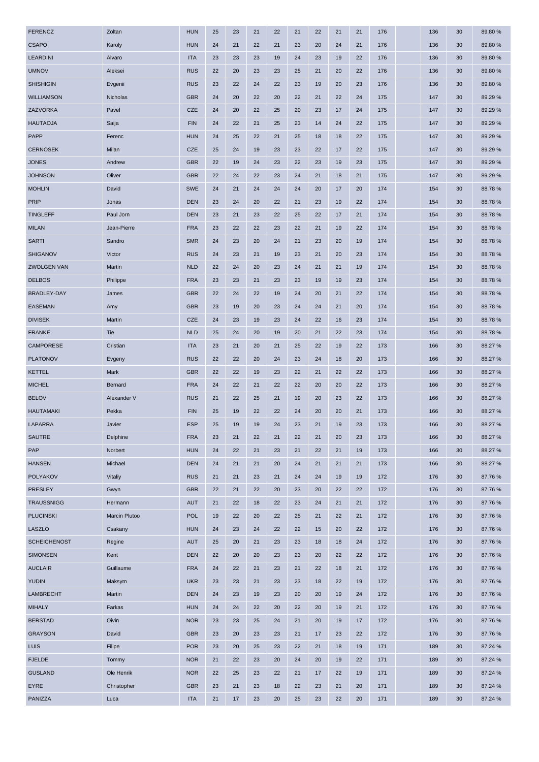| FERENCZ             | Zoltan        | <b>HUN</b> | 25 | 23 | 21 | 22 | 21 | 22 | 21 | 21 | 176 | 136 | 30 | 89.80 % |
|---------------------|---------------|------------|----|----|----|----|----|----|----|----|-----|-----|----|---------|
| <b>CSAPO</b>        | Karoly        | <b>HUN</b> | 24 | 21 | 22 | 21 | 23 | 20 | 24 | 21 | 176 | 136 | 30 | 89.80 % |
| <b>LEARDINI</b>     | Alvaro        | <b>ITA</b> | 23 | 23 | 23 | 19 | 24 | 23 | 19 | 22 | 176 | 136 | 30 | 89.80 % |
| <b>UMNOV</b>        | Aleksei       | <b>RUS</b> | 22 | 20 | 23 | 23 | 25 | 21 | 20 | 22 | 176 | 136 | 30 | 89.80 % |
| <b>SHISHIGIN</b>    | Evgenii       | <b>RUS</b> | 23 | 22 | 24 | 22 | 23 | 19 | 20 | 23 | 176 | 136 | 30 | 89.80 % |
| <b>WILLIAMSON</b>   | Nicholas      | <b>GBR</b> | 24 | 20 | 22 | 20 | 22 | 21 | 22 | 24 | 175 | 147 | 30 | 89.29 % |
| ZAZVORKA            | Pavel         | <b>CZE</b> | 24 | 20 | 22 | 25 | 20 | 23 | 17 | 24 | 175 | 147 | 30 | 89.29 % |
| <b>HAUTAOJA</b>     | Saija         | <b>FIN</b> | 24 | 22 | 21 | 25 | 23 | 14 | 24 | 22 | 175 | 147 | 30 | 89.29 % |
| <b>PAPP</b>         | Ferenc        | <b>HUN</b> | 24 | 25 | 22 | 21 | 25 | 18 | 18 | 22 | 175 | 147 | 30 | 89.29 % |
| <b>CERNOSEK</b>     | Milan         | <b>CZE</b> | 25 | 24 | 19 | 23 | 23 | 22 | 17 | 22 | 175 | 147 | 30 | 89.29 % |
| <b>JONES</b>        | Andrew        | <b>GBR</b> | 22 | 19 | 24 | 23 | 22 | 23 | 19 | 23 | 175 | 147 | 30 | 89.29 % |
| <b>JOHNSON</b>      | Oliver        | <b>GBR</b> | 22 | 24 | 22 | 23 | 24 | 21 | 18 | 21 | 175 | 147 | 30 | 89.29 % |
| <b>MOHLIN</b>       | David         | <b>SWE</b> | 24 | 21 | 24 | 24 | 24 | 20 | 17 | 20 | 174 | 154 | 30 | 88.78%  |
| <b>PRIP</b>         | Jonas         | <b>DEN</b> | 23 | 24 | 20 | 22 | 21 | 23 | 19 | 22 | 174 | 154 | 30 | 88.78%  |
| <b>TINGLEFF</b>     | Paul Jorn     | <b>DEN</b> | 23 | 21 | 23 | 22 | 25 | 22 | 17 | 21 | 174 | 154 | 30 | 88.78%  |
| <b>MILAN</b>        | Jean-Pierre   | <b>FRA</b> | 23 | 22 | 22 | 23 | 22 | 21 | 19 | 22 | 174 | 154 | 30 | 88.78%  |
| <b>SARTI</b>        | Sandro        | <b>SMR</b> | 24 | 23 | 20 | 24 | 21 | 23 | 20 | 19 | 174 | 154 | 30 | 88.78%  |
| <b>SHIGANOV</b>     | Victor        | <b>RUS</b> | 24 | 23 | 21 | 19 | 23 | 21 | 20 | 23 | 174 | 154 | 30 | 88.78%  |
| <b>ZWOLGEN VAN</b>  | Martin        | <b>NLD</b> | 22 | 24 | 20 | 23 | 24 | 21 | 21 | 19 | 174 | 154 | 30 | 88.78%  |
| <b>DELBOS</b>       | Philippe      | <b>FRA</b> | 23 | 23 | 21 | 23 | 23 | 19 | 19 | 23 | 174 | 154 | 30 | 88.78%  |
| BRADLEY-DAY         | James         | <b>GBR</b> | 22 | 24 | 22 | 19 | 24 | 20 | 21 | 22 | 174 | 154 | 30 | 88.78%  |
| <b>EASEMAN</b>      | Amy           | <b>GBR</b> | 23 | 19 | 20 | 23 | 24 | 24 | 21 | 20 | 174 | 154 | 30 | 88.78%  |
| <b>DIVISEK</b>      | Martin        | <b>CZE</b> | 24 | 23 | 19 | 23 | 24 | 22 | 16 | 23 | 174 | 154 | 30 | 88.78%  |
| <b>FRANKE</b>       | Tie           | <b>NLD</b> | 25 | 24 | 20 | 19 | 20 | 21 | 22 | 23 | 174 | 154 | 30 | 88.78%  |
| <b>CAMPORESE</b>    | Cristian      | <b>ITA</b> | 23 | 21 | 20 | 21 | 25 | 22 | 19 | 22 | 173 | 166 | 30 | 88.27 % |
| <b>PLATONOV</b>     | Evgeny        | <b>RUS</b> | 22 | 22 | 20 | 24 | 23 | 24 | 18 | 20 | 173 | 166 | 30 | 88.27 % |
| <b>KETTEL</b>       | Mark          | <b>GBR</b> | 22 | 22 | 19 | 23 | 22 | 21 | 22 | 22 | 173 | 166 | 30 | 88.27 % |
| <b>MICHEL</b>       | Bernard       | <b>FRA</b> | 24 | 22 | 21 | 22 | 22 | 20 | 20 | 22 | 173 | 166 | 30 | 88.27 % |
| <b>BELOV</b>        | Alexander V   | <b>RUS</b> | 21 | 22 | 25 | 21 | 19 | 20 | 23 | 22 | 173 | 166 | 30 | 88.27 % |
| <b>HAUTAMAKI</b>    | Pekka         | <b>FIN</b> | 25 | 19 | 22 | 22 | 24 | 20 | 20 | 21 | 173 | 166 | 30 | 88.27 % |
| <b>LAPARRA</b>      | Javier        | <b>ESP</b> | 25 | 19 | 19 | 24 | 23 | 21 | 19 | 23 | 173 | 166 | 30 | 88.27 % |
| <b>SAUTRE</b>       | Delphine      | <b>FRA</b> | 23 | 21 | 22 | 21 | 22 | 21 | 20 | 23 | 173 | 166 | 30 | 88.27 % |
| PAP                 | Norbert       | <b>HUN</b> | 24 | 22 | 21 | 23 | 21 | 22 | 21 | 19 | 173 | 166 | 30 | 88.27 % |
| <b>HANSEN</b>       | Michael       | <b>DEN</b> | 24 | 21 | 21 | 20 | 24 | 21 | 21 | 21 | 173 | 166 | 30 | 88.27 % |
| <b>POLYAKOV</b>     | Vitaliy       | <b>RUS</b> | 21 | 21 | 23 | 21 | 24 | 24 | 19 | 19 | 172 | 176 | 30 | 87.76%  |
| PRESLEY             | Gwyn          | <b>GBR</b> | 22 | 21 | 22 | 20 | 23 | 20 | 22 | 22 | 172 | 176 | 30 | 87.76%  |
| <b>TRAUSSNIGG</b>   | Hermann       | <b>AUT</b> | 21 | 22 | 18 | 22 | 23 | 24 | 21 | 21 | 172 | 176 | 30 | 87.76%  |
| <b>PLUCINSKI</b>    | Marcin Plutoo | <b>POL</b> | 19 | 22 | 20 | 22 | 25 | 21 | 22 | 21 | 172 | 176 | 30 | 87.76%  |
| LASZLO              | Csakany       | <b>HUN</b> | 24 | 23 | 24 | 22 | 22 | 15 | 20 | 22 | 172 | 176 | 30 | 87.76%  |
| <b>SCHEICHENOST</b> | Regine        | <b>AUT</b> | 25 | 20 | 21 | 23 | 23 | 18 | 18 | 24 | 172 | 176 | 30 | 87.76%  |
| <b>SIMONSEN</b>     | Kent          | <b>DEN</b> | 22 | 20 | 20 | 23 | 23 | 20 | 22 | 22 | 172 | 176 | 30 | 87.76%  |
| <b>AUCLAIR</b>      | Guillaume     | <b>FRA</b> | 24 | 22 | 21 | 23 | 21 | 22 | 18 | 21 | 172 | 176 | 30 | 87.76%  |
| <b>YUDIN</b>        | Maksym        | <b>UKR</b> | 23 | 23 | 21 | 23 | 23 | 18 | 22 | 19 | 172 | 176 | 30 | 87.76%  |
| LAMBRECHT           | Martin        | <b>DEN</b> | 24 | 23 | 19 | 23 | 20 | 20 | 19 | 24 | 172 | 176 | 30 | 87.76%  |
| <b>MIHALY</b>       | Farkas        | <b>HUN</b> | 24 | 24 | 22 | 20 | 22 | 20 | 19 | 21 | 172 | 176 | 30 | 87.76%  |
| <b>BERSTAD</b>      | Oivin         | <b>NOR</b> | 23 | 23 | 25 | 24 | 21 | 20 | 19 | 17 | 172 | 176 | 30 | 87.76%  |
| <b>GRAYSON</b>      | David         | <b>GBR</b> | 23 | 20 | 23 | 23 | 21 | 17 | 23 | 22 | 172 | 176 | 30 | 87.76%  |
| LUIS                | Filipe        | <b>POR</b> | 23 | 20 | 25 | 23 | 22 | 21 | 18 | 19 | 171 | 189 | 30 | 87.24 % |
| <b>FJELDE</b>       | Tommy         | <b>NOR</b> | 21 | 22 | 23 | 20 | 24 | 20 | 19 | 22 | 171 | 189 | 30 | 87.24 % |
| <b>GUSLAND</b>      | Ole Henrik    | <b>NOR</b> | 22 | 25 | 23 | 22 | 21 | 17 | 22 | 19 | 171 | 189 | 30 | 87.24 % |
| EYRE                | Christopher   | <b>GBR</b> | 23 | 21 | 23 | 18 | 22 | 23 | 21 | 20 | 171 | 189 | 30 | 87.24 % |
| PANIZZA             | Luca          | <b>ITA</b> | 21 | 17 | 23 | 20 | 25 | 23 | 22 | 20 | 171 | 189 | 30 | 87.24 % |
|                     |               |            |    |    |    |    |    |    |    |    |     |     |    |         |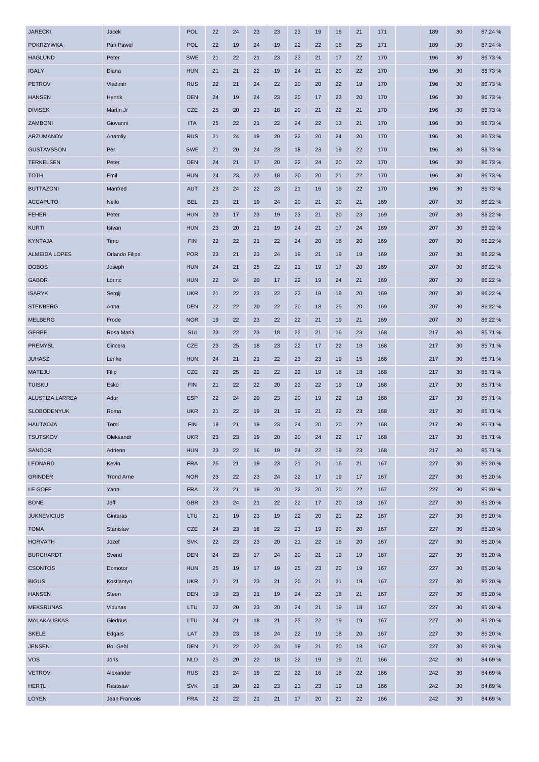| <b>JARECKI</b>       | Jacek             | <b>POL</b> | 22       | 24       | 23       | 23       | 23 | 19 | 16       | 21       | 171        | 189 | 30 | 87.24 % |
|----------------------|-------------------|------------|----------|----------|----------|----------|----|----|----------|----------|------------|-----|----|---------|
| <b>POKRZYWKA</b>     | Pan Pawel         | <b>POL</b> | 22       | 19       | 24       | 19       | 22 | 22 | 18       | 25       | 171        | 189 | 30 | 87.24 % |
| <b>HAGLUND</b>       | Peter             | <b>SWE</b> | 21       | 22       | 21       | 23       | 23 | 21 | 17       | 22       | 170        | 196 | 30 | 86.73%  |
| <b>IGALY</b>         | Diana             | <b>HUN</b> | 21       | 21       | 22       | 19       | 24 | 21 | 20       | 22       | 170        | 196 | 30 | 86.73%  |
| <b>PETROV</b>        | Vladimir          | <b>RUS</b> | 22       | 21       | 24       | 22       | 20 | 20 | 22       | 19       | 170        | 196 | 30 | 86.73%  |
| <b>HANSEN</b>        | Henrik            | <b>DEN</b> | 24       | 19       | 24       | 23       | 20 | 17 | 23       | 20       | 170        | 196 | 30 | 86.73%  |
| <b>DIVISEK</b>       | Martin Jr         | <b>CZE</b> | 25       | 20       | 23       | 18       | 20 | 21 | 22       | 21       | 170        | 196 | 30 | 86.73%  |
| ZAMBONI              | Giovanni          | <b>ITA</b> | 25       | 22       | 21       | 22       | 24 | 22 | 13       | 21       | 170        | 196 | 30 | 86.73%  |
| ARZUMANOV            | Anatoliy          | <b>RUS</b> | 21       | 24       | 19       | 20       | 22 | 20 | 24       | 20       | 170        | 196 | 30 | 86.73%  |
| <b>GUSTAVSSON</b>    | Per               | <b>SWE</b> | 21       | 20       | 24       | 23       | 18 | 23 | 19       | 22       | 170        | 196 | 30 | 86.73%  |
| <b>TERKELSEN</b>     | Peter             | <b>DEN</b> | 24       | 21       | 17       | 20       | 22 | 24 | 20       | 22       | 170        | 196 | 30 | 86.73%  |
| <b>TOTH</b>          | Emil              | <b>HUN</b> | 24       | 23       | 22       | 18       | 20 | 20 | 21       | 22       | 170        | 196 | 30 | 86.73%  |
| <b>BUTTAZONI</b>     | Manfred           | <b>AUT</b> | 23       | 24       | 22       | 23       | 21 | 16 | 19       | 22       | 170        | 196 | 30 | 86.73%  |
| <b>ACCAPUTO</b>      | Nello             | <b>BEL</b> | 23       | 21       | 19       | 24       | 20 | 21 | 20       | 21       | 169        | 207 | 30 | 86.22 % |
| <b>FEHER</b>         | Peter             | <b>HUN</b> | 23       | 17       | 23       | 19       | 23 | 21 | 20       | 23       | 169        | 207 | 30 | 86.22 % |
| <b>KURTI</b>         | Istvan            | <b>HUN</b> | 23       | 20       | 21       | 19       | 24 | 21 | 17       | 24       | 169        | 207 | 30 | 86.22 % |
| <b>KYNTAJA</b>       | Timo              | <b>FIN</b> | 22       | 22       | 21       | 22       | 24 | 20 | 18       | 20       | 169        | 207 | 30 | 86.22 % |
| <b>ALMEIDA LOPES</b> | Orlando Filipe    | <b>POR</b> | 23       | 21       | 23       | 24       | 19 | 21 | 19       | 19       | 169        | 207 | 30 | 86.22 % |
| <b>DOBOS</b>         | Joseph            | <b>HUN</b> | 24       | 21       | 25       | 22       | 21 | 19 | 17       | 20       | 169        | 207 | 30 | 86.22 % |
| <b>GABOR</b>         | Lorinc            | <b>HUN</b> | 22       | 24       | 20       | 17       | 22 | 19 | 24       | 21       | 169        | 207 | 30 | 86.22%  |
| <b>ISARYK</b>        | Sergij            | <b>UKR</b> | 21       | 22       | 23       | 22       | 23 | 19 | 19       | 20       | 169        | 207 | 30 | 86.22 % |
| <b>STENBERG</b>      | Anna              | <b>DEN</b> | 22       | 22       | 20       | 22       | 20 | 18 | 25       | 20       | 169        | 207 | 30 | 86.22%  |
| <b>MELBERG</b>       | Frode             | <b>NOR</b> | 19       | 22       | 23       | 22       | 22 | 21 | 19       | 21       | 169        | 207 | 30 | 86.22 % |
| <b>GERPE</b>         | Rosa Maria        | SUI        | 23       | 22       | 23       | 18       | 22 | 21 | 16       | 23       | 168        | 217 | 30 | 85.71 % |
| <b>PREMYSL</b>       | Cincera           | <b>CZE</b> | 23       | 25       | 18       | 23       | 22 | 17 | 22       | 18       | 168        | 217 | 30 | 85.71 % |
| <b>JUHASZ</b>        | Lenke             | <b>HUN</b> | 24       | 21       | 21       | 22       | 23 | 23 | 19       | 15       | 168        | 217 | 30 | 85.71 % |
| <b>MATEJU</b>        | Filip             | <b>CZE</b> | 22       | 25       | 22       | 22       | 22 | 19 | 18       | 18       | 168        | 217 | 30 | 85.71 % |
| <b>TUISKU</b>        | Esko              | <b>FIN</b> | 21       | 22       | 22       | 20       | 23 | 22 | 19       | 19       | 168        | 217 | 30 | 85.71 % |
| ALUSTIZA LARREA      | Adur              | <b>ESP</b> | 22       | 24       | 20       | 23       | 20 | 19 | 22       | 18       | 168        | 217 | 30 | 85.71 % |
| <b>SLOBODENYUK</b>   | Roma              | <b>UKR</b> | 21       | 22       | 19       | 21       | 19 | 21 | 22       | 23       | 168        | 217 | 30 | 85.71 % |
| <b>HAUTAOJA</b>      | Tomi              | <b>FIN</b> | 19       | 21       | 19       | 23       | 24 | 20 | 20       | 22       | 168        | 217 | 30 | 85.71%  |
| <b>TSUTSKOV</b>      | Oleksandr         | <b>UKR</b> | 23       | 23       | 19       | 20       | 20 | 24 | 22       | 17       | 168        | 217 | 30 | 85.71 % |
| <b>SANDOR</b>        | Adrienn           | <b>HUN</b> | 23       | 22       | 16       | 19       | 24 | 22 | 19       | 23       | 168        | 217 | 30 | 85.71 % |
| LEONARD              | Kevin             | <b>FRA</b> | 25       | 21       | 19       | 23       | 21 | 21 | 16       | 21       | 167        | 227 | 30 | 85.20%  |
| <b>GRINDER</b>       | <b>Trond Arne</b> | <b>NOR</b> | 23       | 22       | 23       | 24       | 22 | 17 | 19       | 17       | 167        | 227 | 30 | 85.20%  |
| LE GOFF              | Yann              | <b>FRA</b> | 23       | 21       | 19       | 20       | 22 | 20 | 20       | 22       | 167        | 227 | 30 | 85.20%  |
| <b>BONE</b>          | Jeff              | <b>GBR</b> | 23       | 24       | 21       | 22       | 22 | 17 | 20       | 18       | 167        | 227 | 30 | 85.20%  |
| <b>JUKNEVICIUS</b>   | Gintaras          | LTU        | 21       | 19       | 23       | 19       | 22 | 20 | 21       | 22       | 167        | 227 | 30 | 85.20 % |
| <b>TOMA</b>          | Stanislav         | <b>CZE</b> | 24       | 23       | 16       | 22       | 23 | 19 | 20       | 20       | 167        | 227 | 30 | 85.20%  |
| <b>HORVATH</b>       | Jozef             | <b>SVK</b> | 22       | 23       | 23       | 20       | 21 | 22 | 16       | 20       | 167        | 227 | 30 | 85.20 % |
| <b>BURCHARDT</b>     | Svend             | <b>DEN</b> | 24       | 23       | 17       | 24       | 20 | 21 | 19       | 19       | 167        | 227 | 30 | 85.20 % |
| <b>CSONTOS</b>       | Domotor           | <b>HUN</b> | 25       | 19       | 17       | 19       | 25 | 23 | 20       | 19       | 167        | 227 | 30 | 85.20%  |
| <b>BIGUS</b>         | Kostiantyn        | <b>UKR</b> | 21       | 21       | 23       | 21       | 20 | 21 | 21       | 19       | 167        | 227 | 30 | 85.20%  |
| <b>HANSEN</b>        | <b>Steen</b>      | <b>DEN</b> | 19       | 23       | 21       | 19       | 24 | 22 | 18       | 21       | 167        | 227 | 30 | 85.20%  |
| <b>MEKSRUNAS</b>     | Vidunas           | LTU        | 22       | 20       | 23       | 20       | 24 | 21 | 19       | 18       | 167        | 227 | 30 | 85.20 % |
| <b>MALAKAUSKAS</b>   | Giedrius          | LTU        |          |          |          |          | 23 | 22 |          |          |            | 227 | 30 | 85.20%  |
| <b>SKELE</b>         | Edgars            | LAT        | 24<br>23 | 21<br>23 | 18<br>18 | 21<br>24 | 22 | 19 | 19<br>18 | 19<br>20 | 167<br>167 | 227 | 30 | 85.20%  |
|                      |                   |            |          |          |          |          |    |    |          |          |            |     |    |         |
| <b>JENSEN</b>        | Bo Gehl           | <b>DEN</b> | 21       | 22       | 22       | 24       | 19 | 21 | 20       | 18       | 167        | 227 | 30 | 85.20%  |
| <b>VOS</b>           | Joris             | <b>NLD</b> | 25       | 20       | 22       | 18       | 22 | 19 | 19       | 21       | 166        | 242 | 30 | 84.69%  |
| <b>VETROV</b>        | Alexander         | <b>RUS</b> | 23       | 24       | 19       | 22       | 22 | 16 | 18       | 22       | 166        | 242 | 30 | 84.69%  |
| <b>HERTL</b>         | Rastislav         | <b>SVK</b> | 18       | 20       | 22       | 23       | 23 | 23 | 19       | 18       | 166        | 242 | 30 | 84.69%  |
| <b>LOYEN</b>         | Jean Francois     | <b>FRA</b> | 22       | 22       | 21       | 21       | 17 | 20 | 21       | 22       | 166        | 242 | 30 | 84.69%  |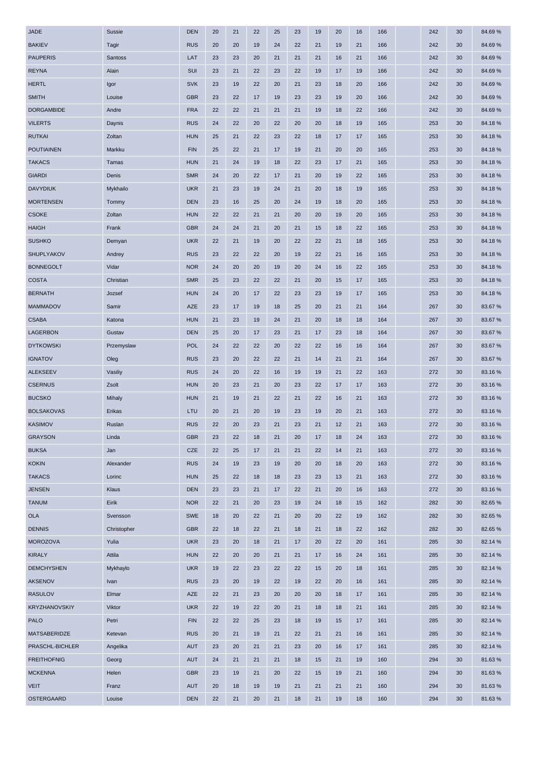| JADE                 | Sussie      | <b>DEN</b> | 20 | 21 | 22   | 25 | 23 | 19 | 20 | 16 | 166 | 242 | 30 | 84.69%  |
|----------------------|-------------|------------|----|----|------|----|----|----|----|----|-----|-----|----|---------|
| <b>BAKIEV</b>        | Tagir       | <b>RUS</b> | 20 | 20 | 19   | 24 | 22 | 21 | 19 | 21 | 166 | 242 | 30 | 84.69%  |
| <b>PAUPERIS</b>      | Santoss     | LAT        | 23 | 23 | 20   | 21 | 21 | 21 | 16 | 21 | 166 | 242 | 30 | 84.69%  |
| <b>REYNA</b>         | Alain       | SUI        | 23 | 21 | 22   | 23 | 22 | 19 | 17 | 19 | 166 | 242 | 30 | 84.69%  |
| <b>HERTL</b>         | Igor        | <b>SVK</b> | 23 | 19 | 22   | 20 | 21 | 23 | 18 | 20 | 166 | 242 | 30 | 84.69%  |
| <b>SMITH</b>         | Louise      | <b>GBR</b> | 23 | 22 | 17   | 19 | 23 | 23 | 19 | 20 | 166 | 242 | 30 | 84.69%  |
| <b>DORGAMBIDE</b>    | Andre       | <b>FRA</b> | 22 | 22 | 21   | 21 | 21 | 19 | 18 | 22 | 166 | 242 | 30 | 84.69%  |
| <b>VILERTS</b>       | Daynis      | <b>RUS</b> | 24 | 22 | 20   | 22 | 20 | 20 | 18 | 19 | 165 | 253 | 30 | 84.18%  |
| <b>RUTKAI</b>        | Zoltan      | <b>HUN</b> | 25 | 21 | 22   | 23 | 22 | 18 | 17 | 17 | 165 | 253 | 30 | 84.18%  |
| <b>POUTIAINEN</b>    | Markku      | <b>FIN</b> | 25 | 22 | 21   | 17 | 19 | 21 | 20 | 20 | 165 | 253 | 30 | 84.18%  |
| <b>TAKACS</b>        | Tamas       | <b>HUN</b> | 21 | 24 | 19   | 18 | 22 | 23 | 17 | 21 | 165 | 253 | 30 | 84.18%  |
| <b>GIARDI</b>        | Denis       | <b>SMR</b> | 24 | 20 | 22   | 17 | 21 | 20 | 19 | 22 | 165 | 253 | 30 | 84.18%  |
| <b>DAVYDIUK</b>      | Mykhailo    | <b>UKR</b> | 21 | 23 | 19   | 24 | 21 | 20 | 18 | 19 | 165 | 253 | 30 | 84.18%  |
| <b>MORTENSEN</b>     | Tommy       | <b>DEN</b> | 23 | 16 | 25   | 20 | 24 | 19 | 18 | 20 | 165 | 253 | 30 | 84.18%  |
| <b>CSOKE</b>         | Zoltan      | <b>HUN</b> | 22 | 22 | 21   | 21 | 20 | 20 | 19 | 20 | 165 | 253 | 30 | 84.18%  |
| <b>HAIGH</b>         | Frank       | <b>GBR</b> | 24 | 24 | 21   | 20 | 21 | 15 | 18 | 22 | 165 | 253 | 30 | 84.18%  |
| <b>SUSHKO</b>        | Demyan      | <b>UKR</b> | 22 | 21 | 19   | 20 | 22 | 22 | 21 | 18 | 165 | 253 | 30 | 84.18%  |
| SHUPLYAKOV           | Andrey      | <b>RUS</b> | 23 | 22 | 22   | 20 | 19 | 22 | 21 | 16 | 165 | 253 | 30 | 84.18%  |
| <b>BONNEGOLT</b>     | Vidar       | <b>NOR</b> | 24 | 20 | 20   | 19 | 20 | 24 | 16 | 22 | 165 | 253 | 30 | 84.18%  |
| <b>COSTA</b>         | Christian   | <b>SMR</b> | 25 | 23 | 22   | 22 | 21 | 20 | 15 | 17 | 165 | 253 | 30 | 84.18%  |
| <b>BERNATH</b>       | Jozsef      | <b>HUN</b> | 24 | 20 | 17   | 22 | 23 | 23 | 19 | 17 | 165 | 253 | 30 | 84.18%  |
| <b>MAMMADOV</b>      | Samir       | AZE        | 23 | 17 | 19   | 18 | 25 | 20 | 21 | 21 | 164 | 267 | 30 | 83.67%  |
| <b>CSABA</b>         | Katona      | <b>HUN</b> | 21 | 23 | 19   | 24 | 21 | 20 | 18 | 18 | 164 | 267 | 30 | 83.67%  |
| <b>LAGERBON</b>      | Gustav      | <b>DEN</b> | 25 | 20 | 17   | 23 | 21 | 17 | 23 | 18 | 164 | 267 | 30 | 83.67 % |
| <b>DYTKOWSKI</b>     | Przemyslaw  | POL        | 24 | 22 | 22   | 20 | 22 | 22 | 16 | 16 | 164 | 267 | 30 | 83.67%  |
| <b>IGNATOV</b>       | Oleg        | <b>RUS</b> | 23 | 20 | 22   | 22 | 21 | 14 | 21 | 21 | 164 | 267 | 30 | 83.67%  |
| <b>ALEKSEEV</b>      | Vasiliy     | <b>RUS</b> | 24 | 20 | 22   | 16 | 19 | 19 | 21 | 22 | 163 | 272 | 30 | 83.16%  |
| <b>CSERNUS</b>       | Zsolt       | <b>HUN</b> | 20 | 23 | 21   | 20 | 23 | 22 | 17 | 17 | 163 | 272 | 30 | 83.16%  |
| <b>BUCSKO</b>        | Mihaly      | <b>HUN</b> | 21 | 19 | 21   | 22 | 21 | 22 | 16 | 21 | 163 | 272 | 30 | 83.16%  |
| <b>BOLSAKOVAS</b>    | Erikas      | LTU        | 20 | 21 | 20   | 19 | 23 | 19 | 20 | 21 | 163 | 272 | 30 | 83.16%  |
| <b>KASIMOV</b>       | Ruslan      | <b>RUS</b> | 22 | 20 | 23   | 21 | 23 | 21 | 12 | 21 | 163 | 272 | 30 | 83.16%  |
| <b>GRAYSON</b>       | Linda       | <b>GBR</b> | 23 | 22 | 18   | 21 | 20 | 17 | 18 | 24 | 163 | 272 | 30 | 83.16%  |
| <b>BUKSA</b>         | Jan         | CZE        | 22 | 25 | $17$ | 21 | 21 | 22 | 14 | 21 | 163 | 272 | 30 | 83.16%  |
| <b>KOKIN</b>         | Alexander   | <b>RUS</b> | 24 | 19 | 23   | 19 | 20 | 20 | 18 | 20 | 163 | 272 | 30 | 83.16%  |
| <b>TAKACS</b>        | Lorinc      | <b>HUN</b> | 25 | 22 | 18   | 18 | 23 | 23 | 13 | 21 | 163 | 272 | 30 | 83.16%  |
| <b>JENSEN</b>        | Klaus       | <b>DEN</b> | 23 | 23 | 21   | 17 | 22 | 21 | 20 | 16 | 163 | 272 | 30 | 83.16%  |
| <b>TANUM</b>         | Eirik       | <b>NOR</b> | 22 | 21 | 20   | 23 | 19 | 24 | 18 | 15 | 162 | 282 | 30 | 82.65%  |
| <b>OLA</b>           | Svensson    | <b>SWE</b> | 18 | 20 | 22   | 21 | 20 | 20 | 22 | 19 | 162 | 282 | 30 | 82.65 % |
| <b>DENNIS</b>        | Christopher | <b>GBR</b> | 22 | 18 | 22   | 21 | 18 | 21 | 18 | 22 | 162 | 282 | 30 | 82.65%  |
| <b>MOROZOVA</b>      | Yulia       | <b>UKR</b> | 23 | 20 | 18   | 21 | 17 | 20 | 22 | 20 | 161 | 285 | 30 | 82.14%  |
| <b>KIRALY</b>        | Attila      | <b>HUN</b> | 22 | 20 | 20   | 21 | 21 | 17 | 16 | 24 | 161 | 285 | 30 | 82.14 % |
| <b>DEMCHYSHEN</b>    | Mykhaylo    | <b>UKR</b> | 19 | 22 | 23   | 22 | 22 | 15 | 20 | 18 | 161 | 285 | 30 | 82.14 % |
| <b>AKSENOV</b>       | Ivan        | <b>RUS</b> | 23 | 20 | 19   | 22 | 19 | 22 | 20 | 16 | 161 | 285 | 30 | 82.14%  |
| <b>RASULOV</b>       | Elmar       | AZE        | 22 | 21 | 23   | 20 | 20 | 20 | 18 | 17 | 161 | 285 | 30 | 82.14 % |
| <b>KRYZHANOVSKIY</b> | Viktor      | <b>UKR</b> | 22 | 19 | 22   | 20 | 21 | 18 | 18 | 21 | 161 | 285 | 30 | 82.14%  |
| <b>PALO</b>          | Petri       | <b>FIN</b> | 22 | 22 | 25   | 23 | 18 | 19 | 15 | 17 | 161 | 285 | 30 | 82.14 % |
| MATSABERIDZE         | Ketevan     | <b>RUS</b> | 20 | 21 | 19   | 21 | 22 | 21 | 21 | 16 | 161 | 285 | 30 | 82.14 % |
| PRASCHL-BICHLER      | Angelika    | <b>AUT</b> | 23 | 20 | 21   | 21 | 23 | 20 | 16 | 17 | 161 | 285 | 30 | 82.14%  |
| <b>FREITHOFNIG</b>   | Georg       | <b>AUT</b> | 24 | 21 | 21   | 21 | 18 | 15 | 21 | 19 | 160 | 294 | 30 | 81.63%  |
| <b>MCKENNA</b>       | Helen       | <b>GBR</b> | 23 | 19 | 21   | 20 | 22 | 15 | 19 | 21 | 160 | 294 | 30 | 81.63%  |
| <b>VEIT</b>          | Franz       | <b>AUT</b> | 20 | 18 | 19   | 19 | 21 | 21 | 21 | 21 | 160 | 294 | 30 | 81.63%  |
| OSTERGAARD           | Louise      | <b>DEN</b> | 22 | 21 | 20   | 21 | 18 | 21 | 19 | 18 | 160 | 294 | 30 | 81.63%  |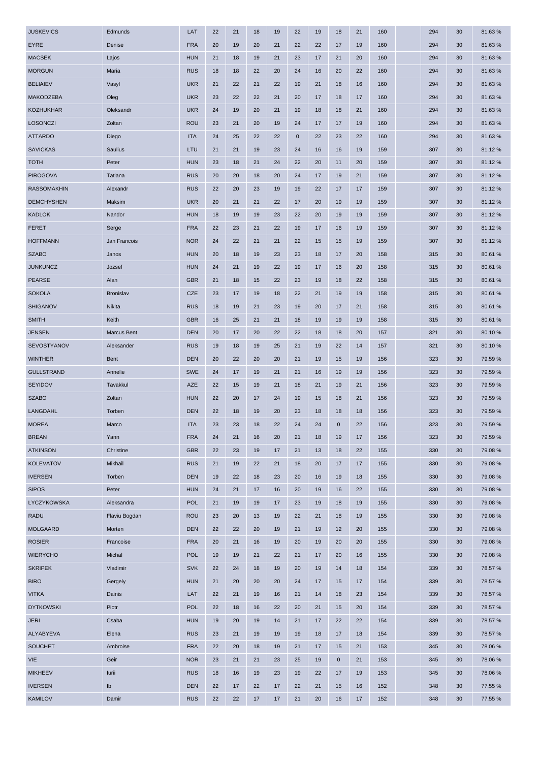| <b>JUSKEVICS</b>   | Edmunds          | LAT        | 22 | 21 | 18 | 19 | 22          | 19 | 18        | 21 | 160 | 294 | 30 | 81.63%  |
|--------------------|------------------|------------|----|----|----|----|-------------|----|-----------|----|-----|-----|----|---------|
| <b>EYRE</b>        | Denise           | <b>FRA</b> | 20 | 19 | 20 | 21 | 22          | 22 | 17        | 19 | 160 | 294 | 30 | 81.63%  |
| <b>MACSEK</b>      | Lajos            | <b>HUN</b> | 21 | 18 | 19 | 21 | 23          | 17 | 21        | 20 | 160 | 294 | 30 | 81.63%  |
| <b>MORGUN</b>      | Maria            | <b>RUS</b> | 18 | 18 | 22 | 20 | 24          | 16 | 20        | 22 | 160 | 294 | 30 | 81.63%  |
| <b>BELIAIEV</b>    | Vasyl            | <b>UKR</b> | 21 | 22 | 21 | 22 | 19          | 21 | 18        | 16 | 160 | 294 | 30 | 81.63%  |
| MAKODZEBA          | Oleg             | <b>UKR</b> | 23 | 22 | 22 | 21 | 20          | 17 | 18        | 17 | 160 | 294 | 30 | 81.63%  |
| <b>KOZHUKHAR</b>   | Oleksandr        | <b>UKR</b> | 24 | 19 | 20 | 21 | 19          | 18 | 18        | 21 | 160 | 294 | 30 | 81.63%  |
| <b>LOSONCZI</b>    | Zoltan           | <b>ROU</b> | 23 | 21 | 20 | 19 | 24          | 17 | 17        | 19 | 160 | 294 | 30 | 81.63%  |
| <b>ATTARDO</b>     | Diego            | <b>ITA</b> | 24 | 25 | 22 | 22 | $\mathbf 0$ | 22 | 23        | 22 | 160 | 294 | 30 | 81.63%  |
| <b>SAVICKAS</b>    | Saulius          | LTU        | 21 | 21 | 19 | 23 | 24          | 16 | 16        | 19 | 159 | 307 | 30 | 81.12%  |
| <b>TOTH</b>        | Peter            | <b>HUN</b> | 23 | 18 | 21 | 24 | 22          | 20 | 11        | 20 | 159 | 307 | 30 | 81.12%  |
| <b>PIROGOVA</b>    | Tatiana          | <b>RUS</b> | 20 | 20 | 18 | 20 | 24          | 17 | 19        | 21 | 159 | 307 | 30 | 81.12%  |
| <b>RASSOMAKHIN</b> | Alexandr         | <b>RUS</b> | 22 | 20 | 23 | 19 | 19          | 22 | 17        | 17 | 159 | 307 | 30 | 81.12%  |
| <b>DEMCHYSHEN</b>  | Maksim           | <b>UKR</b> | 20 | 21 | 21 | 22 | 17          | 20 | 19        | 19 | 159 | 307 | 30 | 81.12%  |
| <b>KADLOK</b>      | Nandor           | <b>HUN</b> | 18 | 19 | 19 | 23 | 22          | 20 | 19        | 19 | 159 | 307 | 30 | 81.12%  |
| <b>FERET</b>       | Serge            | <b>FRA</b> | 22 | 23 | 21 | 22 | 19          | 17 | 16        | 19 | 159 | 307 | 30 | 81.12%  |
| <b>HOFFMANN</b>    | Jan Francois     | <b>NOR</b> | 24 | 22 | 21 | 21 | 22          | 15 | 15        | 19 | 159 | 307 | 30 | 81.12%  |
| <b>SZABO</b>       | Janos            | <b>HUN</b> | 20 | 18 | 19 | 23 | 23          | 18 | 17        | 20 | 158 | 315 | 30 | 80.61%  |
| <b>JUNKUNCZ</b>    | Jozsef           | <b>HUN</b> | 24 | 21 | 19 | 22 | 19          | 17 | 16        | 20 | 158 | 315 | 30 | 80.61%  |
| <b>PEARSE</b>      | Alan             | <b>GBR</b> | 21 | 18 | 15 | 22 | 23          | 19 | 18        | 22 | 158 | 315 | 30 | 80.61%  |
| <b>SOKOLA</b>      | <b>Bronislav</b> | <b>CZE</b> | 23 | 17 | 19 | 18 | 22          | 21 | 19        | 19 | 158 | 315 | 30 | 80.61%  |
| <b>SHIGANOV</b>    | Nikita           | <b>RUS</b> | 18 | 19 | 21 | 23 | 19          | 20 | 17        | 21 | 158 | 315 | 30 | 80.61%  |
| <b>SMITH</b>       | Keith            | <b>GBR</b> | 16 | 25 | 21 | 21 | 18          | 19 | 19        | 19 | 158 | 315 | 30 | 80.61%  |
| <b>JENSEN</b>      | Marcus Bent      | <b>DEN</b> | 20 | 17 | 20 | 22 | 22          | 18 | 18        | 20 | 157 | 321 | 30 | 80.10%  |
| SEVOSTYANOV        | Aleksander       | <b>RUS</b> | 19 | 18 | 19 | 25 | 21          | 19 | 22        | 14 | 157 | 321 | 30 | 80.10%  |
| <b>WINTHER</b>     | <b>Bent</b>      | <b>DEN</b> | 20 | 22 | 20 | 20 | 21          | 19 | 15        | 19 | 156 | 323 | 30 | 79.59 % |
| <b>GULLSTRAND</b>  | Annelie          | <b>SWE</b> | 24 | 17 | 19 | 21 | 21          | 16 | 19        | 19 | 156 | 323 | 30 | 79.59 % |
| <b>SEYIDOV</b>     | Tavakkul         | AZE        | 22 | 15 | 19 | 21 | 18          | 21 | 19        | 21 | 156 | 323 | 30 | 79.59 % |
| <b>SZABO</b>       | Zoltan           | <b>HUN</b> | 22 | 20 | 17 | 24 | 19          | 15 | 18        | 21 | 156 | 323 | 30 | 79.59 % |
| LANGDAHL           | Torben           | <b>DEN</b> | 22 | 18 | 19 | 20 | 23          | 18 | 18        | 18 | 156 | 323 | 30 | 79.59 % |
| <b>MOREA</b>       | Marco            | <b>ITA</b> | 23 | 23 | 18 | 22 | 24          | 24 | $\pmb{0}$ | 22 | 156 | 323 | 30 | 79.59 % |
| <b>BREAN</b>       | Yann             | <b>FRA</b> | 24 | 21 | 16 | 20 | 21          | 18 | 19        | 17 | 156 | 323 | 30 | 79.59 % |
| <b>ATKINSON</b>    | Christine        | <b>GBR</b> | 22 | 23 | 19 | 17 | 21          | 13 | 18        | 22 | 155 | 330 | 30 | 79.08%  |
| <b>KOLEVATOV</b>   | Mikhail          | <b>RUS</b> | 21 | 19 | 22 | 21 | 18          | 20 | 17        | 17 | 155 | 330 | 30 | 79.08%  |
| <b>IVERSEN</b>     | Torben           | <b>DEN</b> | 19 | 22 | 18 | 23 | 20          | 16 | 19        | 18 | 155 | 330 | 30 | 79.08%  |
| <b>SIPOS</b>       | Peter            | <b>HUN</b> | 24 | 21 | 17 | 16 | 20          | 19 | 16        | 22 | 155 | 330 | 30 | 79.08%  |
| LYCZYKOWSKA        | Aleksandra       | <b>POL</b> | 21 | 19 | 19 | 17 | 23          | 19 | 18        | 19 | 155 | 330 | 30 | 79.08%  |
| <b>RADU</b>        | Flaviu Bogdan    | <b>ROU</b> | 23 | 20 | 13 | 19 | 22          | 21 | 18        | 19 | 155 | 330 | 30 | 79.08%  |
| <b>MOLGAARD</b>    | Morten           | <b>DEN</b> | 22 | 22 | 20 | 19 | 21          | 19 | 12        | 20 | 155 | 330 | 30 | 79.08%  |
| <b>ROSIER</b>      | Francoise        | <b>FRA</b> | 20 | 21 | 16 | 19 | 20          | 19 | 20        | 20 | 155 | 330 | 30 | 79.08%  |
| <b>WIERYCHO</b>    | Michal           | <b>POL</b> | 19 | 19 | 21 | 22 | 21          | 17 | 20        | 16 | 155 | 330 | 30 | 79.08%  |
| <b>SKRIPEK</b>     | Vladimir         | <b>SVK</b> | 22 | 24 | 18 | 19 | 20          | 19 | 14        | 18 | 154 | 339 | 30 | 78.57 % |
| <b>BIRO</b>        | Gergely          | <b>HUN</b> | 21 | 20 | 20 | 20 | 24          | 17 | 15        | 17 | 154 | 339 | 30 | 78.57 % |
| <b>VITKA</b>       | Dainis           | LAT        | 22 | 21 | 19 | 16 | 21          | 14 | 18        | 23 | 154 | 339 | 30 | 78.57 % |
| <b>DYTKOWSKI</b>   | Piotr            | <b>POL</b> | 22 | 18 | 16 | 22 | 20          | 21 | 15        | 20 | 154 | 339 | 30 | 78.57 % |
| <b>JERI</b>        | Csaba            | <b>HUN</b> | 19 | 20 | 19 | 14 | 21          | 17 | 22        | 22 | 154 | 339 | 30 | 78.57 % |
| ALYABYEVA          | Elena            | <b>RUS</b> | 23 | 21 | 19 | 19 | 19          | 18 | 17        | 18 | 154 | 339 | 30 | 78.57 % |
| <b>SOUCHET</b>     | Ambroise         | <b>FRA</b> | 22 | 20 | 18 | 19 | 21          | 17 | 15        | 21 | 153 | 345 | 30 | 78.06%  |
| <b>VIE</b>         | Geir             | <b>NOR</b> | 23 | 21 | 21 | 23 | 25          | 19 | 0         | 21 | 153 | 345 | 30 | 78.06%  |
| <b>MIKHEEV</b>     | lurii            | <b>RUS</b> | 18 | 16 | 19 | 23 | 19          | 22 | 17        | 19 | 153 | 345 | 30 | 78.06 % |
| <b>IVERSEN</b>     | Ib               | <b>DEN</b> | 22 | 17 | 22 | 17 | 22          | 21 | 15        | 16 | 152 | 348 | 30 | 77.55 % |
| <b>KAMILOV</b>     | Damir            | <b>RUS</b> | 22 | 22 | 17 | 17 | 21          | 20 | 16        | 17 | 152 | 348 | 30 | 77.55 % |
|                    |                  |            |    |    |    |    |             |    |           |    |     |     |    |         |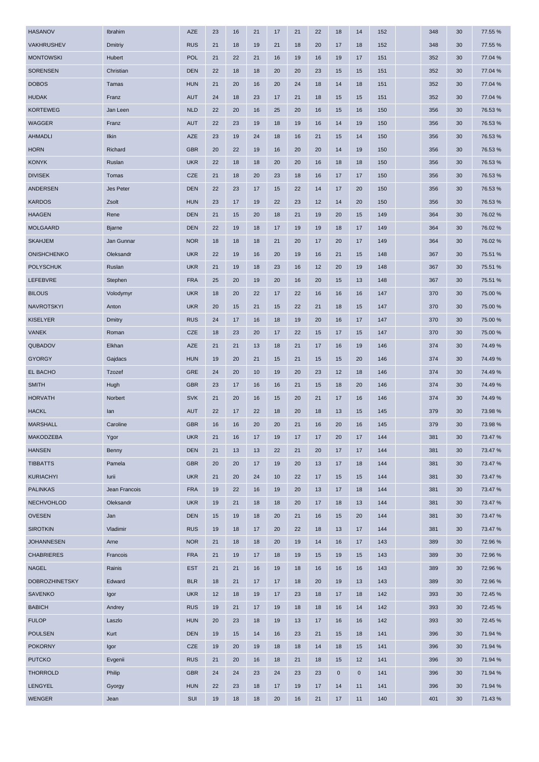| <b>HASANOV</b>        | Ibrahim       | AZE        | 23 | 16 | 21 | 17 | 21 | 22 | 18          | 14          | 152 | 348 | 30 | 77.55 % |
|-----------------------|---------------|------------|----|----|----|----|----|----|-------------|-------------|-----|-----|----|---------|
| VAKHRUSHEV            | Dmitriy       | <b>RUS</b> | 21 | 18 | 19 | 21 | 18 | 20 | 17          | 18          | 152 | 348 | 30 | 77.55 % |
| <b>MONTOWSKI</b>      | Hubert        | <b>POL</b> | 21 | 22 | 21 | 16 | 19 | 16 | 19          | 17          | 151 | 352 | 30 | 77.04 % |
| <b>SORENSEN</b>       | Christian     | <b>DEN</b> | 22 | 18 | 18 | 20 | 20 | 23 | 15          | 15          | 151 | 352 | 30 | 77.04 % |
| <b>DOBOS</b>          | Tamas         | <b>HUN</b> | 21 | 20 | 16 | 20 | 24 | 18 | 14          | 18          | 151 | 352 | 30 | 77.04 % |
| <b>HUDAK</b>          | Franz         | <b>AUT</b> | 24 | 18 | 23 | 17 | 21 | 18 | 15          | 15          | 151 | 352 | 30 | 77.04 % |
| <b>KORTEWEG</b>       | Jan Leen      | <b>NLD</b> | 22 | 20 | 16 | 25 | 20 | 16 | 15          | 16          | 150 | 356 | 30 | 76.53 % |
| <b>WAGGER</b>         | Franz         | <b>AUT</b> | 22 | 23 | 19 | 18 | 19 | 16 | 14          | 19          | 150 | 356 | 30 | 76.53 % |
| <b>AHMADLI</b>        | <b>Ilkin</b>  | AZE        | 23 | 19 | 24 | 18 | 16 | 21 | 15          | 14          | 150 | 356 | 30 | 76.53 % |
| <b>HORN</b>           | Richard       | <b>GBR</b> | 20 | 22 | 19 | 16 | 20 | 20 | 14          | 19          | 150 | 356 | 30 | 76.53 % |
| <b>KONYK</b>          | Ruslan        | <b>UKR</b> | 22 | 18 | 18 | 20 | 20 | 16 | 18          | 18          | 150 | 356 | 30 | 76.53 % |
| <b>DIVISEK</b>        | Tomas         | <b>CZE</b> | 21 | 18 | 20 | 23 | 18 | 16 | 17          | 17          | 150 | 356 | 30 | 76.53 % |
| <b>ANDERSEN</b>       | Jes Peter     | <b>DEN</b> | 22 | 23 | 17 | 15 | 22 | 14 | 17          | 20          | 150 | 356 | 30 | 76.53 % |
| <b>KARDOS</b>         | Zsolt         | <b>HUN</b> | 23 | 17 | 19 | 22 | 23 | 12 | 14          | 20          | 150 | 356 | 30 | 76.53 % |
| <b>HAAGEN</b>         | Rene          | <b>DEN</b> | 21 | 15 | 20 | 18 | 21 | 19 | 20          | 15          | 149 | 364 | 30 | 76.02%  |
| <b>MOLGAARD</b>       | <b>Bjarne</b> | <b>DEN</b> | 22 | 19 | 18 | 17 | 19 | 19 | 18          | 17          | 149 | 364 | 30 | 76.02 % |
| <b>SKAHJEM</b>        | Jan Gunnar    | <b>NOR</b> | 18 | 18 | 18 | 21 | 20 | 17 | 20          | 17          | 149 | 364 | 30 | 76.02%  |
| <b>ONISHCHENKO</b>    | Oleksandr     | <b>UKR</b> | 22 | 19 | 16 | 20 | 19 | 16 | 21          | 15          | 148 | 367 | 30 | 75.51 % |
| <b>POLYSCHUK</b>      | Ruslan        | <b>UKR</b> | 21 | 19 | 18 | 23 | 16 | 12 | 20          | 19          | 148 | 367 | 30 | 75.51 % |
| LEFEBVRE              | Stephen       | <b>FRA</b> | 25 | 20 | 19 | 20 | 16 | 20 | 15          | 13          | 148 | 367 | 30 | 75.51 % |
| <b>BILOUS</b>         | Volodymyr     | <b>UKR</b> | 18 | 20 | 22 | 17 | 22 | 16 | 16          | 16          | 147 | 370 | 30 | 75.00 % |
| <b>NAVROTSKYI</b>     | Anton         | <b>UKR</b> | 20 | 15 | 21 | 15 | 22 | 21 | 18          | 15          | 147 | 370 | 30 | 75.00 % |
| <b>KISELYER</b>       | Dmitry        | <b>RUS</b> | 24 | 17 | 16 | 18 | 19 | 20 | 16          | 17          | 147 | 370 | 30 | 75.00 % |
| <b>VANEK</b>          | Roman         | <b>CZE</b> | 18 | 23 | 20 | 17 | 22 | 15 | 17          | 15          | 147 | 370 | 30 | 75.00 % |
| QUBADOV               | Elkhan        | AZE        | 21 | 21 | 13 | 18 | 21 | 17 | 16          | 19          | 146 | 374 | 30 | 74.49%  |
| <b>GYORGY</b>         | Gajdacs       | <b>HUN</b> | 19 | 20 | 21 | 15 | 21 | 15 | 15          | 20          | 146 | 374 | 30 | 74.49%  |
| EL BACHO              | Tzozef        | <b>GRE</b> | 24 | 20 | 10 | 19 | 20 | 23 | 12          | 18          | 146 | 374 | 30 | 74.49 % |
| <b>SMITH</b>          | Hugh          | <b>GBR</b> | 23 | 17 | 16 | 16 | 21 | 15 | 18          | 20          | 146 | 374 | 30 | 74.49 % |
| <b>HORVATH</b>        | Norbert       | <b>SVK</b> | 21 | 20 | 16 | 15 | 20 | 21 | 17          | 16          | 146 | 374 | 30 | 74.49 % |
| <b>HACKL</b>          | lan           | <b>AUT</b> | 22 | 17 | 22 | 18 | 20 | 18 | 13          | 15          | 145 | 379 | 30 | 73.98%  |
| <b>MARSHALL</b>       | Caroline      | <b>GBR</b> | 16 | 16 | 20 | 20 | 21 | 16 | 20          | 16          | 145 | 379 | 30 | 73.98 % |
| MAKODZEBA             | Ygor          | <b>UKR</b> | 21 | 16 | 17 | 19 | 17 | 17 | 20          | 17          | 144 | 381 | 30 | 73.47 % |
| <b>HANSEN</b>         | Benny         | <b>DEN</b> | 21 | 13 | 13 | 22 | 21 | 20 | 17          | 17          | 144 | 381 | 30 | 73.47 % |
| <b>TIBBATTS</b>       | Pamela        | <b>GBR</b> | 20 | 20 | 17 | 19 | 20 | 13 | 17          | 18          | 144 | 381 | 30 | 73.47 % |
| <b>KURIACHYI</b>      | lurii         | <b>UKR</b> | 21 | 20 | 24 | 10 | 22 | 17 | 15          | 15          | 144 | 381 | 30 | 73.47 % |
| <b>PALINKAS</b>       | Jean Francois | <b>FRA</b> | 19 | 22 | 16 | 19 | 20 | 13 | 17          | 18          | 144 | 381 | 30 | 73.47 % |
| <b>NECHVOHLOD</b>     | Oleksandr     | <b>UKR</b> | 19 | 21 | 18 | 18 | 20 | 17 | 18          | 13          | 144 | 381 | 30 | 73.47 % |
| <b>OVESEN</b>         | Jan           | <b>DEN</b> | 15 | 19 | 18 | 20 | 21 | 16 | 15          | 20          | 144 | 381 | 30 | 73.47 % |
| <b>SIROTKIN</b>       | Vladimir      | <b>RUS</b> | 19 | 18 | 17 | 20 | 22 | 18 | 13          | 17          | 144 | 381 | 30 | 73.47 % |
| <b>JOHANNESEN</b>     | Arne          | <b>NOR</b> | 21 | 18 | 18 | 20 | 19 | 14 | 16          | 17          | 143 | 389 | 30 | 72.96 % |
| <b>CHABRIERES</b>     | Francois      | <b>FRA</b> | 21 | 19 | 17 | 18 | 19 | 15 | 19          | 15          | 143 | 389 | 30 | 72.96 % |
| <b>NAGEL</b>          | Rainis        | <b>EST</b> | 21 | 21 | 16 | 19 | 18 | 16 | 16          | 16          | 143 | 389 | 30 | 72.96 % |
| <b>DOBROZHINETSKY</b> | Edward        | <b>BLR</b> | 18 | 21 | 17 | 17 | 18 | 20 | 19          | 13          | 143 | 389 | 30 | 72.96 % |
| <b>SAVENKO</b>        | Igor          | <b>UKR</b> | 12 | 18 | 19 | 17 | 23 | 18 | 17          | 18          | 142 | 393 | 30 | 72.45 % |
| <b>BABICH</b>         | Andrey        | <b>RUS</b> | 19 | 21 | 17 | 19 | 18 | 18 | 16          | 14          | 142 | 393 | 30 | 72.45 % |
| <b>FULOP</b>          | Laszlo        | <b>HUN</b> | 20 | 23 | 18 | 19 | 13 | 17 | 16          | 16          | 142 | 393 | 30 | 72.45 % |
| <b>POULSEN</b>        | Kurt          | <b>DEN</b> | 19 | 15 | 14 | 16 | 23 | 21 | 15          | 18          | 141 | 396 | 30 | 71.94 % |
| <b>POKORNY</b>        | Igor          | <b>CZE</b> | 19 | 20 | 19 | 18 | 18 | 14 | 18          | 15          | 141 | 396 | 30 | 71.94 % |
| <b>PUTCKO</b>         | Evgenii       | <b>RUS</b> | 21 | 20 | 16 | 18 | 21 | 18 | 15          | 12          | 141 | 396 | 30 | 71.94 % |
| <b>THORROLD</b>       | Philip        | <b>GBR</b> | 24 | 24 | 23 | 24 | 23 | 23 | $\mathbf 0$ | $\mathbf 0$ | 141 | 396 | 30 | 71.94 % |
| LENGYEL               | Gyorgy        | <b>HUN</b> | 22 | 23 | 18 | 17 | 19 | 17 | 14          | 11          | 141 | 396 | 30 | 71.94 % |
| <b>WENGER</b>         | Jean          | SUI        | 19 | 18 | 18 | 20 | 16 | 21 | 17          | 11          | 140 | 401 | 30 | 71.43%  |
|                       |               |            |    |    |    |    |    |    |             |             |     |     |    |         |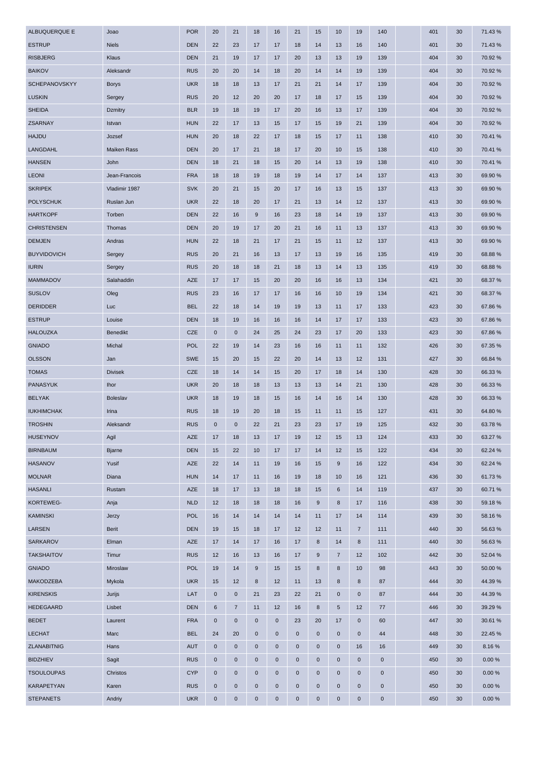| ALBUQUERQUE E      | Joao            | <b>POR</b> | 20          | 21             | 18          | 16          | 21          | 15          | 10               | 19                  | 140                 | 401 | 30 | 71.43%  |
|--------------------|-----------------|------------|-------------|----------------|-------------|-------------|-------------|-------------|------------------|---------------------|---------------------|-----|----|---------|
| <b>ESTRUP</b>      | <b>Niels</b>    | <b>DEN</b> | 22          | 23             | 17          | 17          | 18          | 14          | 13               | 16                  | 140                 | 401 | 30 | 71.43%  |
| <b>RISBJERG</b>    | Klaus           | <b>DEN</b> | 21          | 19             | 17          | 17          | 20          | 13          | 13               | 19                  | 139                 | 404 | 30 | 70.92 % |
| <b>BAIKOV</b>      | Aleksandr       | <b>RUS</b> | 20          | 20             | 14          | 18          | 20          | 14          | 14               | 19                  | 139                 | 404 | 30 | 70.92 % |
| SCHEPANOVSKYY      | <b>Borys</b>    | <b>UKR</b> | 18          | 18             | 13          | 17          | 21          | 21          | 14               | 17                  | 139                 | 404 | 30 | 70.92%  |
| <b>LUSKIN</b>      | Sergey          | <b>RUS</b> | 20          | 12             | 20          | 20          | 17          | 18          | 17               | 15                  | 139                 | 404 | 30 | 70.92%  |
| <b>SHEIDA</b>      | Dzmitry         | <b>BLR</b> | 19          | 18             | 19          | 17          | 20          | 16          | 13               | 17                  | 139                 | 404 | 30 | 70.92%  |
| ZSARNAY            | Istvan          | <b>HUN</b> | 22          | 17             | 13          | 15          | 17          | 15          | 19               | 21                  | 139                 | 404 | 30 | 70.92%  |
| <b>HAJDU</b>       | Jozsef          | <b>HUN</b> | 20          | 18             | 22          | 17          | 18          | 15          | 17               | 11                  | 138                 | 410 | 30 | 70.41 % |
| LANGDAHL           | Maiken Rass     | <b>DEN</b> | 20          | 17             | 21          | 18          | 17          | 20          | 10               | 15                  | 138                 | 410 | 30 | 70.41%  |
| <b>HANSEN</b>      | John            | <b>DEN</b> | 18          | 21             | 18          | 15          | 20          | 14          | 13               | 19                  | 138                 | 410 | 30 | 70.41 % |
| <b>LEONI</b>       | Jean-Francois   | <b>FRA</b> | 18          | 18             | 19          | 18          | 19          | 14          | 17               | 14                  | 137                 | 413 | 30 | 69.90 % |
| <b>SKRIPEK</b>     | Vladimir 1987   | <b>SVK</b> | 20          | 21             | 15          | 20          | 17          | 16          | 13               | 15                  | 137                 | 413 | 30 | 69.90 % |
| <b>POLYSCHUK</b>   | Ruslan Jun      | <b>UKR</b> | 22          | 18             | 20          | 17          | 21          | 13          | 14               | 12                  | 137                 | 413 | 30 | 69.90 % |
| <b>HARTKOPF</b>    | Torben          | <b>DEN</b> | 22          | 16             | 9           | 16          | 23          | 18          | 14               | 19                  | 137                 | 413 | 30 | 69.90 % |
| <b>CHRISTENSEN</b> | Thomas          | <b>DEN</b> | 20          | 19             | 17          | 20          | 21          | 16          | 11               | 13                  | 137                 | 413 | 30 | 69.90 % |
| <b>DEMJEN</b>      | Andras          | <b>HUN</b> | 22          | 18             | 21          | 17          | 21          | 15          | 11               | 12                  | 137                 | 413 | 30 | 69.90 % |
| <b>BUYVIDOVICH</b> | Sergey          | <b>RUS</b> | 20          | 21             | 16          | 13          | 17          | 13          | 19               | 16                  | 135                 | 419 | 30 | 68.88%  |
| <b>IURIN</b>       | Sergey          | <b>RUS</b> | 20          | 18             | 18          | 21          | 18          | 13          | 14               | 13                  | 135                 | 419 | 30 | 68.88%  |
| <b>MAMMADOV</b>    | Salahaddin      | <b>AZE</b> | 17          | 17             | 15          | 20          | 20          | 16          | 16               | 13                  | 134                 | 421 | 30 | 68.37 % |
| <b>SUSLOV</b>      | Oleg            | <b>RUS</b> | 23          | 16             | 17          | 17          | 16          | 16          | 10               | 19                  | 134                 | 421 | 30 | 68.37 % |
| <b>DERIDDER</b>    | Luc             | <b>BEL</b> | 22          | 18             | 14          | 19          | 19          | 13          | 11               | 17                  | 133                 | 423 | 30 | 67.86%  |
| <b>ESTRUP</b>      | Louise          | <b>DEN</b> | 18          | 19             | 16          | 16          | 16          | 14          | 17               | 17                  | 133                 | 423 | 30 | 67.86%  |
| <b>HALOUZKA</b>    | <b>Benedikt</b> | <b>CZE</b> | $\pmb{0}$   | $\pmb{0}$      | 24          | 25          | 24          | 23          | 17               | 20                  | 133                 | 423 | 30 | 67.86%  |
| <b>GNIADO</b>      | Michal          | <b>POL</b> | 22          | 19             | 14          | 23          | 16          | 16          | 11               | 11                  | 132                 | 426 | 30 | 67.35 % |
| <b>OLSSON</b>      | Jan             | <b>SWE</b> | 15          | 20             | 15          | 22          | 20          | 14          | 13               | 12                  | 131                 | 427 | 30 | 66.84 % |
| <b>TOMAS</b>       | <b>Divisek</b>  | <b>CZE</b> | 18          | 14             | 14          | 15          | 20          | 17          | 18               | 14                  | 130                 | 428 | 30 | 66.33 % |
| <b>PANASYUK</b>    | <b>Ihor</b>     | <b>UKR</b> | 20          | 18             | 18          | 13          | 13          | 13          | 14               | 21                  | 130                 | 428 | 30 | 66.33 % |
| <b>BELYAK</b>      | <b>Boleslav</b> | <b>UKR</b> | 18          | 19             | 18          | 15          | 16          | 14          | 16               | 14                  | 130                 | 428 | 30 | 66.33 % |
| <b>IUKHIMCHAK</b>  | Irina           | <b>RUS</b> | 18          | 19             | 20          | 18          | 15          | 11          | 11               | 15                  | 127                 | 431 | 30 | 64.80%  |
| <b>TROSHIN</b>     | Aleksandr       | <b>RUS</b> | $\mathbf 0$ | $\mathbf 0$    | 22          | 21          | 23          | 23          | 17               | 19                  | 125                 | 432 | 30 | 63.78 % |
| <b>HUSEYNOV</b>    | Agil            | AZE        | 17          | 18             | 13          | 17          | 19          | 12          | 15               | 13                  | 124                 | 433 | 30 | 63.27 % |
| <b>BIRNBAUM</b>    | <b>Bjarne</b>   | <b>DEN</b> | 15          | 22             | 10          | 17          | 17          | 14          | 12               | 15                  | 122                 | 434 | 30 | 62.24 % |
| <b>HASANOV</b>     | Yusif           | AZE        | 22          | 14             | 11          | 19          | 16          | 15          | $\boldsymbol{9}$ | 16                  | 122                 | 434 | 30 | 62.24 % |
| <b>MOLNAR</b>      | Diana           | <b>HUN</b> | 14          | 17             | 11          | 16          | 19          | 18          | 10               | 16                  | 121                 | 436 | 30 | 61.73%  |
| <b>HASANLI</b>     | Rustam          | AZE        | 18          | 17             | 13          | 18          | 18          | 15          | 6                | 14                  | 119                 | 437 | 30 | 60.71%  |
| KORTEWEG-          | Anja            | <b>NLD</b> | 12          | 18             | 18          | 18          | 16          | 9           | $\bf8$           | 17                  | 116                 | 438 | 30 | 59.18%  |
| <b>KAMINSKI</b>    | Jerzy           | <b>POL</b> | 16          | 14             | 14          | 14          | 14          | 11          | 17               | 14                  | 114                 | 439 | 30 | 58.16%  |
| LARSEN             | Berit           | <b>DEN</b> | 19          | 15             | 18          | 17          | 12          | 12          | 11               | $\overline{7}$      | 111                 | 440 | 30 | 56.63%  |
| <b>SARKAROV</b>    | Elman           | AZE        | 17          | 14             | 17          | 16          | 17          | 8           | 14               | 8                   | 111                 | 440 | 30 | 56.63%  |
| <b>TAKSHAITOV</b>  | Timur           | <b>RUS</b> | 12          | 16             | 13          | 16          | 17          | 9           | $\overline{7}$   | 12                  | 102                 | 442 | 30 | 52.04 % |
| <b>GNIADO</b>      | Miroslaw        | <b>POL</b> | 19          | 14             | 9           | 15          | 15          | 8           | $\bf8$           | 10                  | 98                  | 443 | 30 | 50.00 % |
| MAKODZEBA          | Mykola          | <b>UKR</b> | 15          | 12             | 8           | 12          | 11          | 13          | $\bf8$           | 8                   | 87                  | 444 | 30 | 44.39%  |
| <b>KIRENSKIS</b>   | Jurijs          | LAT        | $\mathbf 0$ | $\pmb{0}$      | 21          | 23          | 22          | 21          | $\pmb{0}$        | $\mathsf{O}\xspace$ | 87                  | 444 | 30 | 44.39%  |
| <b>HEDEGAARD</b>   | Lisbet          | <b>DEN</b> | 6           | $\overline{7}$ | 11          | 12          | 16          | 8           | $\sqrt{5}$       | 12                  | 77                  | 446 | 30 | 39.29 % |
| <b>BEDET</b>       | Laurent         | <b>FRA</b> | $\mathbf 0$ | $\pmb{0}$      | $\pmb{0}$   | $\pmb{0}$   | 23          | 20          | 17               | $\mathsf{O}\xspace$ | 60                  | 447 | 30 | 30.61 % |
| <b>LECHAT</b>      | Marc            | <b>BEL</b> | 24          | 20             | $\mathbf 0$ | $\pmb{0}$   | $\mathbf 0$ | $\mathbf 0$ | $\pmb{0}$        | $\mathsf{O}\xspace$ | 44                  | 448 | 30 | 22.45 % |
| ZLANABITNIG        | Hans            | <b>AUT</b> | $\mathbf 0$ | $\mathbf 0$    | $\mathbf 0$ | $\mathbf 0$ | $\mathbf 0$ | 0           | $\pmb{0}$        | 16                  | 16                  | 449 | 30 | 8.16%   |
| <b>BIDZHIEV</b>    | Sagit           | <b>RUS</b> | $\mathbf 0$ | $\pmb{0}$      | $\pmb{0}$   | $\pmb{0}$   | $\pmb{0}$   | 0           | $\pmb{0}$        | $\mathsf{O}\xspace$ | $\mathsf{O}\xspace$ | 450 | 30 | 0.00%   |
| <b>TSOULOUPAS</b>  | Christos        | <b>CYP</b> | $\mathbf 0$ | $\pmb{0}$      | 0           | $\mathbf 0$ | $\pmb{0}$   | 0           | $\pmb{0}$        | $\pmb{0}$           | $\mathsf{O}\xspace$ | 450 | 30 | 0.00%   |
| <b>KARAPETYAN</b>  | Karen           | <b>RUS</b> | $\mathbf 0$ | $\pmb{0}$      | 0           | $\mathbf 0$ | $\mathbf 0$ | 0           | $\bf{0}$         | $\pmb{0}$           | $\mathbf 0$         | 450 | 30 | 0.00%   |
| <b>STEPANETS</b>   | Andriy          | <b>UKR</b> | $\mathbf 0$ | $\pmb{0}$      | 0           | $\pmb{0}$   | $\pmb{0}$   | 0           | $\pmb{0}$        | $\pmb{0}$           | $\pmb{0}$           | 450 | 30 | 0.00%   |
|                    |                 |            |             |                |             |             |             |             |                  |                     |                     |     |    |         |